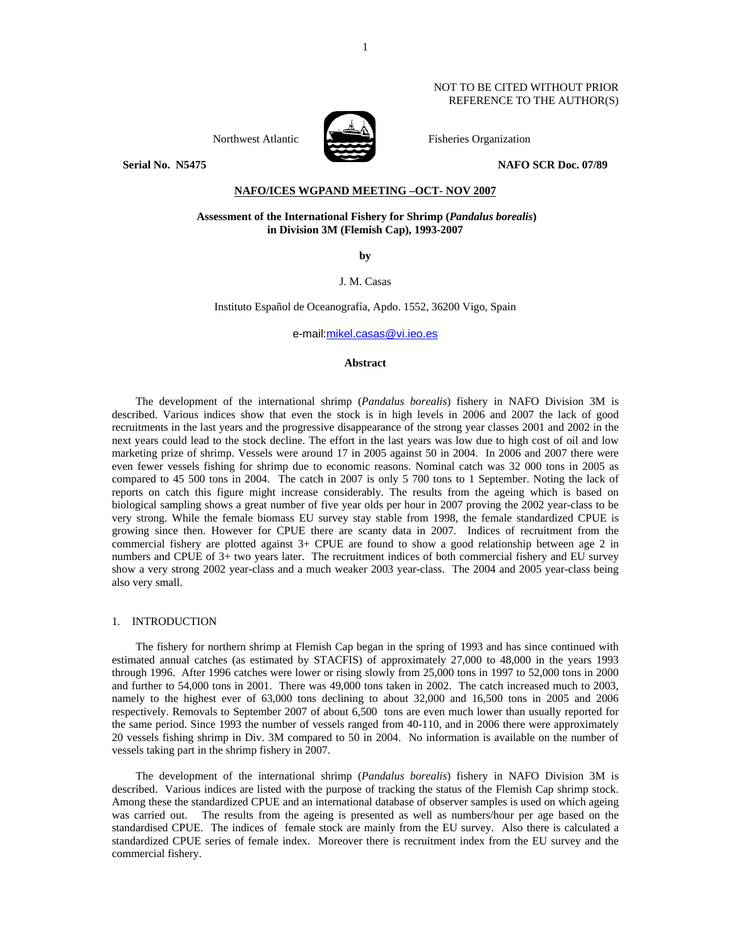## NOT TO BE CITED WITHOUT PRIOR REFERENCE TO THE AUTHOR(S)



Northwest Atlantic **No. 1989** Fisheries Organization

**Serial No. N5475 NAFO SCR Doc. 07/89** 

# **NAFO/ICES WGPAND MEETING –OCT- NOV 2007**

# **Assessment of the International Fishery for Shrimp (***Pandalus borealis***) in Division 3M (Flemish Cap), 1993-2007**

**by** 

J. M. Casas

Instituto Español de Oceanografía, Apdo. 1552, 36200 Vigo, Spain

e-mail:mikel.casas@vi.ieo.es

## **Abstract**

The development of the international shrimp (*Pandalus borealis*) fishery in NAFO Division 3M is described. Various indices show that even the stock is in high levels in 2006 and 2007 the lack of good recruitments in the last years and the progressive disappearance of the strong year classes 2001 and 2002 in the next years could lead to the stock decline. The effort in the last years was low due to high cost of oil and low marketing prize of shrimp. Vessels were around 17 in 2005 against 50 in 2004. In 2006 and 2007 there were even fewer vessels fishing for shrimp due to economic reasons. Nominal catch was 32 000 tons in 2005 as compared to 45 500 tons in 2004. The catch in 2007 is only 5 700 tons to 1 September. Noting the lack of reports on catch this figure might increase considerably. The results from the ageing which is based on biological sampling shows a great number of five year olds per hour in 2007 proving the 2002 year-class to be very strong. While the female biomass EU survey stay stable from 1998, the female standardized CPUE is growing since then. However for CPUE there are scanty data in 2007. Indices of recruitment from the commercial fishery are plotted against 3+ CPUE are found to show a good relationship between age 2 in numbers and CPUE of 3+ two years later. The recruitment indices of both commercial fishery and EU survey show a very strong 2002 year-class and a much weaker 2003 year-class. The 2004 and 2005 year-class being also very small.

## 1. INTRODUCTION

The fishery for northern shrimp at Flemish Cap began in the spring of 1993 and has since continued with estimated annual catches (as estimated by STACFIS) of approximately 27,000 to 48,000 in the years 1993 through 1996. After 1996 catches were lower or rising slowly from 25,000 tons in 1997 to 52,000 tons in 2000 and further to 54,000 tons in 2001. There was 49,000 tons taken in 2002. The catch increased much to 2003, namely to the highest ever of 63,000 tons declining to about 32,000 and 16,500 tons in 2005 and 2006 respectively. Removals to September 2007 of about 6,500 tons are even much lower than usually reported for the same period. Since 1993 the number of vessels ranged from 40-110, and in 2006 there were approximately 20 vessels fishing shrimp in Div. 3M compared to 50 in 2004. No information is available on the number of vessels taking part in the shrimp fishery in 2007.

The development of the international shrimp (*Pandalus borealis*) fishery in NAFO Division 3M is described. Various indices are listed with the purpose of tracking the status of the Flemish Cap shrimp stock. Among these the standardized CPUE and an international database of observer samples is used on which ageing was carried out. The results from the ageing is presented as well as numbers/hour per age based on the standardised CPUE. The indices of female stock are mainly from the EU survey. Also there is calculated a standardized CPUE series of female index. Moreover there is recruitment index from the EU survey and the commercial fishery.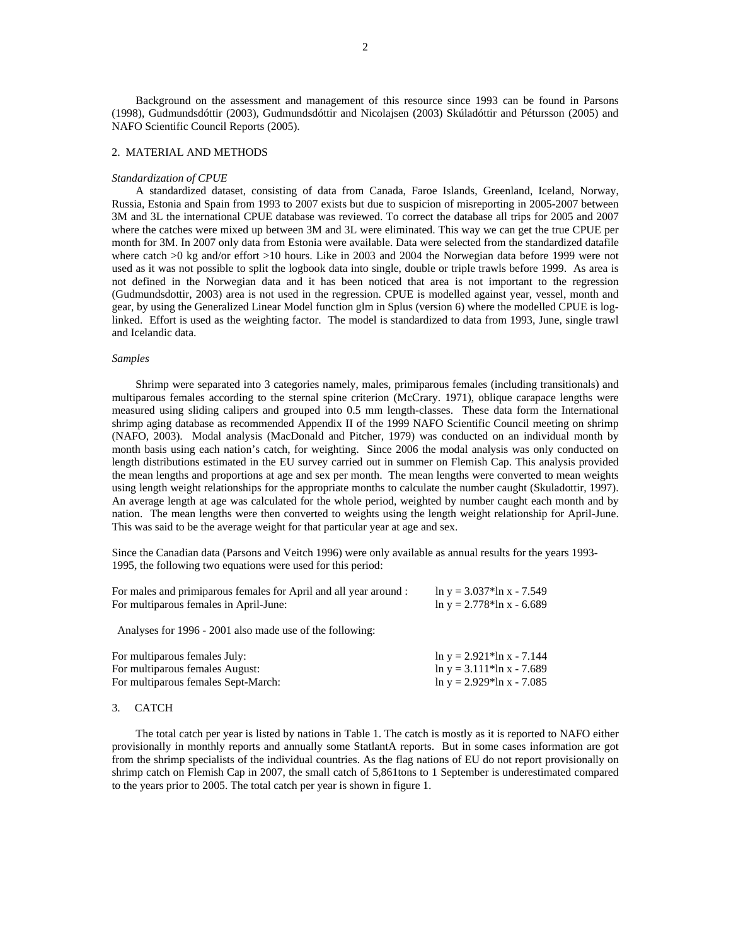Background on the assessment and management of this resource since 1993 can be found in Parsons (1998), Gudmundsdóttir (2003), Gudmundsdóttir and Nicolajsen (2003) Skúladóttir and Pétursson (2005) and NAFO Scientific Council Reports (2005).

## 2. MATERIAL AND METHODS

#### *Standardization of CPUE*

A standardized dataset, consisting of data from Canada, Faroe Islands, Greenland, Iceland, Norway, Russia, Estonia and Spain from 1993 to 2007 exists but due to suspicion of misreporting in 2005-2007 between 3M and 3L the international CPUE database was reviewed. To correct the database all trips for 2005 and 2007 where the catches were mixed up between 3M and 3L were eliminated. This way we can get the true CPUE per month for 3M. In 2007 only data from Estonia were available. Data were selected from the standardized datafile where catch >0 kg and/or effort >10 hours. Like in 2003 and 2004 the Norwegian data before 1999 were not used as it was not possible to split the logbook data into single, double or triple trawls before 1999. As area is not defined in the Norwegian data and it has been noticed that area is not important to the regression (Gudmundsdottir, 2003) area is not used in the regression. CPUE is modelled against year, vessel, month and gear, by using the Generalized Linear Model function glm in Splus (version 6) where the modelled CPUE is loglinked. Effort is used as the weighting factor. The model is standardized to data from 1993, June, single trawl and Icelandic data.

#### *Samples*

Shrimp were separated into 3 categories namely, males, primiparous females (including transitionals) and multiparous females according to the sternal spine criterion (McCrary. 1971), oblique carapace lengths were measured using sliding calipers and grouped into 0.5 mm length-classes. These data form the International shrimp aging database as recommended Appendix II of the 1999 NAFO Scientific Council meeting on shrimp (NAFO, 2003). Modal analysis (MacDonald and Pitcher, 1979) was conducted on an individual month by month basis using each nation's catch, for weighting. Since 2006 the modal analysis was only conducted on length distributions estimated in the EU survey carried out in summer on Flemish Cap. This analysis provided the mean lengths and proportions at age and sex per month. The mean lengths were converted to mean weights using length weight relationships for the appropriate months to calculate the number caught (Skuladottir, 1997). An average length at age was calculated for the whole period, weighted by number caught each month and by nation. The mean lengths were then converted to weights using the length weight relationship for April-June. This was said to be the average weight for that particular year at age and sex.

Since the Canadian data (Parsons and Veitch 1996) were only available as annual results for the years 1993- 1995, the following two equations were used for this period:

| For males and primiparous females for April and all year around : | $\ln y = 3.037* \ln x - 7.549$       |
|-------------------------------------------------------------------|--------------------------------------|
| For multiparous females in April-June:                            | $\ln y = 2.778 \times \ln x - 6.689$ |
|                                                                   |                                      |
| Analyses for 1996 - 2001 also made use of the following:          |                                      |
|                                                                   |                                      |
| For multiparous females July:                                     | $\ln y = 2.921* \ln x - 7.144$       |
| For multiparous females August:                                   | $\ln y = 3.111* \ln x - 7.689$       |
| For multiparous females Sept-March:                               | $\ln y = 2.929* \ln x - 7.085$       |
|                                                                   |                                      |

## 3. CATCH

The total catch per year is listed by nations in Table 1. The catch is mostly as it is reported to NAFO either provisionally in monthly reports and annually some StatlantA reports. But in some cases information are got from the shrimp specialists of the individual countries. As the flag nations of EU do not report provisionally on shrimp catch on Flemish Cap in 2007, the small catch of 5,861tons to 1 September is underestimated compared to the years prior to 2005. The total catch per year is shown in figure 1.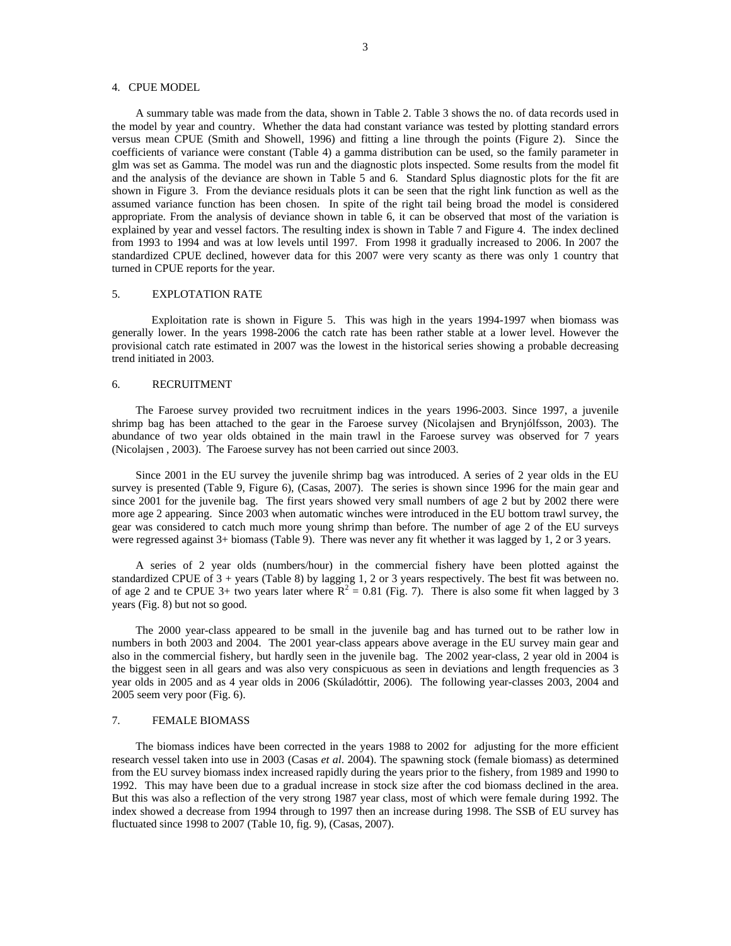## 4. CPUE MODEL

A summary table was made from the data, shown in Table 2. Table 3 shows the no. of data records used in the model by year and country. Whether the data had constant variance was tested by plotting standard errors versus mean CPUE (Smith and Showell, 1996) and fitting a line through the points (Figure 2). Since the coefficients of variance were constant (Table 4) a gamma distribution can be used, so the family parameter in glm was set as Gamma. The model was run and the diagnostic plots inspected. Some results from the model fit and the analysis of the deviance are shown in Table 5 and 6. Standard Splus diagnostic plots for the fit are shown in Figure 3. From the deviance residuals plots it can be seen that the right link function as well as the assumed variance function has been chosen. In spite of the right tail being broad the model is considered appropriate. From the analysis of deviance shown in table 6, it can be observed that most of the variation is explained by year and vessel factors. The resulting index is shown in Table 7 and Figure 4. The index declined from 1993 to 1994 and was at low levels until 1997. From 1998 it gradually increased to 2006. In 2007 the standardized CPUE declined, however data for this 2007 were very scanty as there was only 1 country that turned in CPUE reports for the year.

## 5. EXPLOTATION RATE

Exploitation rate is shown in Figure 5. This was high in the years 1994-1997 when biomass was generally lower. In the years 1998-2006 the catch rate has been rather stable at a lower level. However the provisional catch rate estimated in 2007 was the lowest in the historical series showing a probable decreasing trend initiated in 2003.

## 6. RECRUITMENT

The Faroese survey provided two recruitment indices in the years 1996-2003. Since 1997, a juvenile shrimp bag has been attached to the gear in the Faroese survey (Nicolajsen and Brynjólfsson, 2003). The abundance of two year olds obtained in the main trawl in the Faroese survey was observed for 7 years (Nicolajsen , 2003). The Faroese survey has not been carried out since 2003.

Since 2001 in the EU survey the juvenile shrimp bag was introduced. A series of 2 year olds in the EU survey is presented (Table 9, Figure 6), (Casas, 2007). The series is shown since 1996 for the main gear and since 2001 for the juvenile bag. The first years showed very small numbers of age 2 but by 2002 there were more age 2 appearing. Since 2003 when automatic winches were introduced in the EU bottom trawl survey, the gear was considered to catch much more young shrimp than before. The number of age 2 of the EU surveys were regressed against 3+ biomass (Table 9). There was never any fit whether it was lagged by 1, 2 or 3 years.

A series of 2 year olds (numbers/hour) in the commercial fishery have been plotted against the standardized CPUE of 3 + years (Table 8) by lagging 1, 2 or 3 years respectively. The best fit was between no. of age 2 and te CPUE 3+ two years later where  $R^2 = 0.81$  (Fig. 7). There is also some fit when lagged by 3 years (Fig. 8) but not so good.

The 2000 year-class appeared to be small in the juvenile bag and has turned out to be rather low in numbers in both 2003 and 2004. The 2001 year-class appears above average in the EU survey main gear and also in the commercial fishery, but hardly seen in the juvenile bag. The 2002 year-class, 2 year old in 2004 is the biggest seen in all gears and was also very conspicuous as seen in deviations and length frequencies as 3 year olds in 2005 and as 4 year olds in 2006 (Skúladóttir, 2006). The following year-classes 2003, 2004 and 2005 seem very poor (Fig. 6).

#### 7. FEMALE BIOMASS

The biomass indices have been corrected in the years 1988 to 2002 for adjusting for the more efficient research vessel taken into use in 2003 (Casas *et al*. 2004). The spawning stock (female biomass) as determined from the EU survey biomass index increased rapidly during the years prior to the fishery, from 1989 and 1990 to 1992. This may have been due to a gradual increase in stock size after the cod biomass declined in the area. But this was also a reflection of the very strong 1987 year class, most of which were female during 1992. The index showed a decrease from 1994 through to 1997 then an increase during 1998. The SSB of EU survey has fluctuated since 1998 to 2007 (Table 10, fig. 9), (Casas, 2007).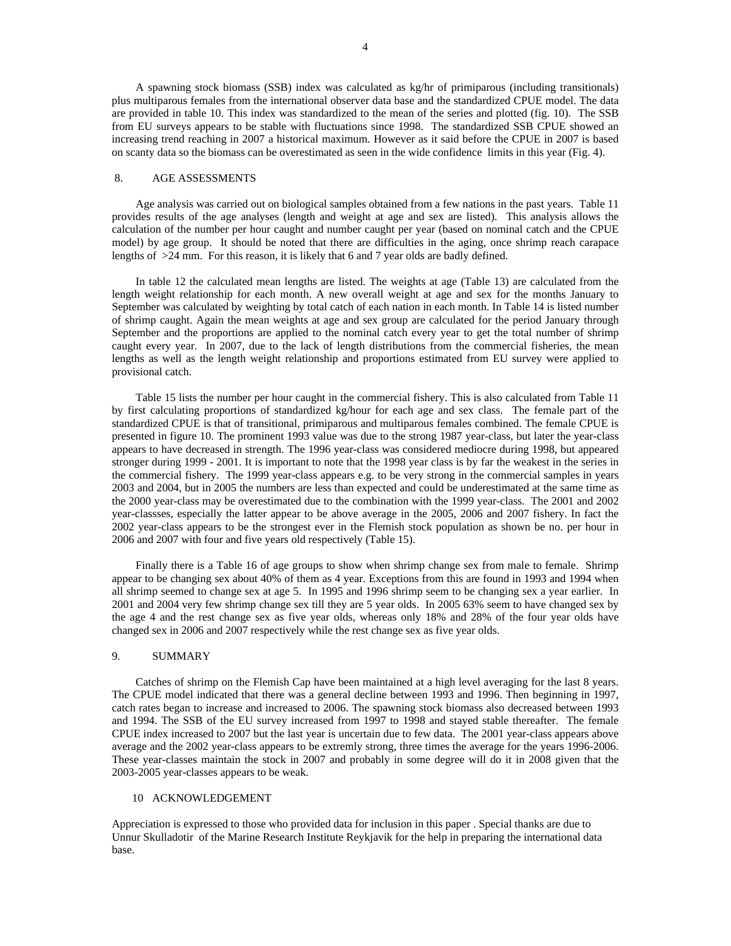A spawning stock biomass (SSB) index was calculated as kg/hr of primiparous (including transitionals) plus multiparous females from the international observer data base and the standardized CPUE model. The data are provided in table 10. This index was standardized to the mean of the series and plotted (fig. 10). The SSB from EU surveys appears to be stable with fluctuations since 1998. The standardized SSB CPUE showed an increasing trend reaching in 2007 a historical maximum. However as it said before the CPUE in 2007 is based on scanty data so the biomass can be overestimated as seen in the wide confidence limits in this year (Fig. 4).

# 8. AGE ASSESSMENTS

Age analysis was carried out on biological samples obtained from a few nations in the past years. Table 11 provides results of the age analyses (length and weight at age and sex are listed). This analysis allows the calculation of the number per hour caught and number caught per year (based on nominal catch and the CPUE model) by age group. It should be noted that there are difficulties in the aging, once shrimp reach carapace lengths of >24 mm. For this reason, it is likely that 6 and 7 year olds are badly defined.

In table 12 the calculated mean lengths are listed. The weights at age (Table 13) are calculated from the length weight relationship for each month. A new overall weight at age and sex for the months January to September was calculated by weighting by total catch of each nation in each month. In Table 14 is listed number of shrimp caught. Again the mean weights at age and sex group are calculated for the period January through September and the proportions are applied to the nominal catch every year to get the total number of shrimp caught every year. In 2007, due to the lack of length distributions from the commercial fisheries, the mean lengths as well as the length weight relationship and proportions estimated from EU survey were applied to provisional catch.

Table 15 lists the number per hour caught in the commercial fishery. This is also calculated from Table 11 by first calculating proportions of standardized kg/hour for each age and sex class. The female part of the standardized CPUE is that of transitional, primiparous and multiparous females combined. The female CPUE is presented in figure 10. The prominent 1993 value was due to the strong 1987 year-class, but later the year-class appears to have decreased in strength. The 1996 year-class was considered mediocre during 1998, but appeared stronger during 1999 - 2001. It is important to note that the 1998 year class is by far the weakest in the series in the commercial fishery. The 1999 year-class appears e.g. to be very strong in the commercial samples in years 2003 and 2004, but in 2005 the numbers are less than expected and could be underestimated at the same time as the 2000 year-class may be overestimated due to the combination with the 1999 year-class. The 2001 and 2002 year-classses, especially the latter appear to be above average in the 2005, 2006 and 2007 fishery. In fact the 2002 year-class appears to be the strongest ever in the Flemish stock population as shown be no. per hour in 2006 and 2007 with four and five years old respectively (Table 15).

Finally there is a Table 16 of age groups to show when shrimp change sex from male to female. Shrimp appear to be changing sex about 40% of them as 4 year. Exceptions from this are found in 1993 and 1994 when all shrimp seemed to change sex at age 5. In 1995 and 1996 shrimp seem to be changing sex a year earlier. In 2001 and 2004 very few shrimp change sex till they are 5 year olds. In 2005 63% seem to have changed sex by the age 4 and the rest change sex as five year olds, whereas only 18% and 28% of the four year olds have changed sex in 2006 and 2007 respectively while the rest change sex as five year olds.

## 9. SUMMARY

Catches of shrimp on the Flemish Cap have been maintained at a high level averaging for the last 8 years. The CPUE model indicated that there was a general decline between 1993 and 1996. Then beginning in 1997, catch rates began to increase and increased to 2006. The spawning stock biomass also decreased between 1993 and 1994. The SSB of the EU survey increased from 1997 to 1998 and stayed stable thereafter. The female CPUE index increased to 2007 but the last year is uncertain due to few data. The 2001 year-class appears above average and the 2002 year-class appears to be extremly strong, three times the average for the years 1996-2006. These year-classes maintain the stock in 2007 and probably in some degree will do it in 2008 given that the 2003-2005 year-classes appears to be weak.

## 10 ACKNOWLEDGEMENT

Appreciation is expressed to those who provided data for inclusion in this paper . Special thanks are due to Unnur Skulladotir of the Marine Research Institute Reykjavik for the help in preparing the international data base.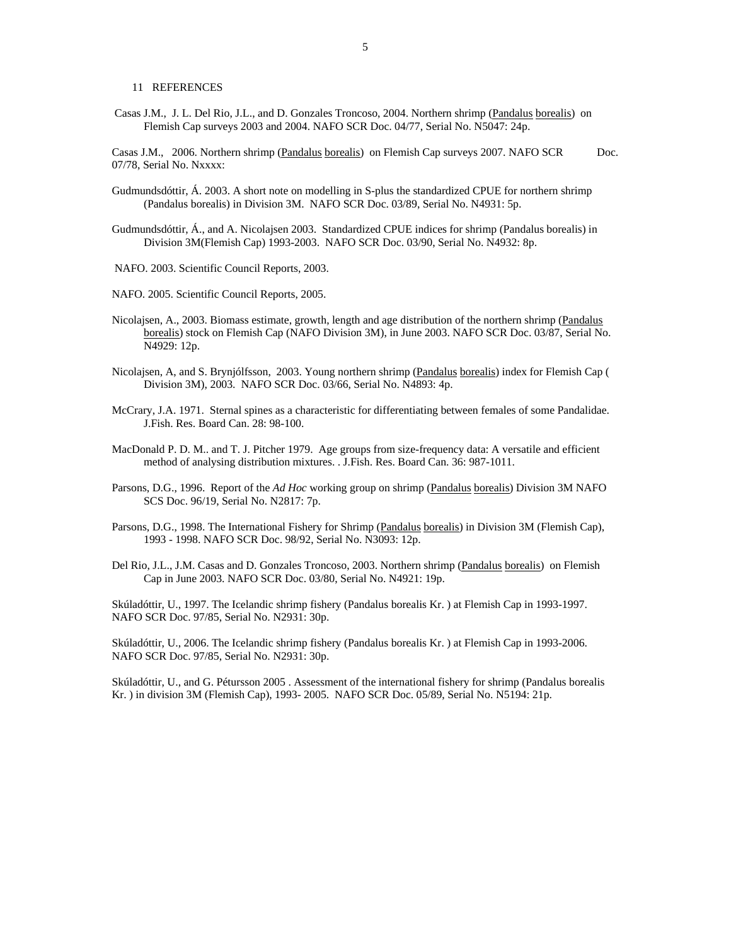11 REFERENCES

 Casas J.M., J. L. Del Rio, J.L., and D. Gonzales Troncoso, 2004. Northern shrimp (Pandalus borealis) on Flemish Cap surveys 2003 and 2004. NAFO SCR Doc. 04/77, Serial No. N5047: 24p.

Casas J.M., 2006. Northern shrimp (Pandalus borealis) on Flemish Cap surveys 2007. NAFO SCR Doc. 07/78, Serial No. Nxxxx:

- Gudmundsdóttir, Á. 2003. A short note on modelling in S-plus the standardized CPUE for northern shrimp (Pandalus borealis) in Division 3M. NAFO SCR Doc. 03/89, Serial No. N4931: 5p.
- Gudmundsdóttir, Á., and A. Nicolajsen 2003. Standardized CPUE indices for shrimp (Pandalus borealis) in Division 3M(Flemish Cap) 1993-2003. NAFO SCR Doc. 03/90, Serial No. N4932: 8p.
- NAFO. 2003. Scientific Council Reports, 2003.
- NAFO. 2005. Scientific Council Reports, 2005.
- Nicolajsen, A., 2003. Biomass estimate, growth, length and age distribution of the northern shrimp (Pandalus borealis) stock on Flemish Cap (NAFO Division 3M), in June 2003. NAFO SCR Doc. 03/87, Serial No. N4929: 12p.
- Nicolajsen, A, and S. Brynjólfsson, 2003. Young northern shrimp (Pandalus borealis) index for Flemish Cap ( Division 3M), 2003. NAFO SCR Doc. 03/66, Serial No. N4893: 4p.
- McCrary, J.A. 1971. Sternal spines as a characteristic for differentiating between females of some Pandalidae. J.Fish. Res. Board Can. 28: 98-100.
- MacDonald P. D. M.. and T. J. Pitcher 1979. Age groups from size-frequency data: A versatile and efficient method of analysing distribution mixtures. . J.Fish. Res. Board Can. 36: 987-1011.
- Parsons, D.G., 1996.Report of the *Ad Hoc* working group on shrimp (Pandalus borealis) Division 3M NAFO SCS Doc. 96/19, Serial No. N2817: 7p.
- Parsons, D.G., 1998. The International Fishery for Shrimp (Pandalus borealis) in Division 3M (Flemish Cap), 1993 - 1998. NAFO SCR Doc. 98/92, Serial No. N3093: 12p.
- Del Rio, J.L., J.M. Casas and D. Gonzales Troncoso, 2003. Northern shrimp (Pandalus borealis) on Flemish Cap in June 2003. NAFO SCR Doc. 03/80, Serial No. N4921: 19p.

Skúladóttir, U., 1997. The Icelandic shrimp fishery (Pandalus borealis Kr. ) at Flemish Cap in 1993-1997. NAFO SCR Doc. 97/85, Serial No. N2931: 30p.

Skúladóttir, U., 2006. The Icelandic shrimp fishery (Pandalus borealis Kr. ) at Flemish Cap in 1993-2006. NAFO SCR Doc. 97/85, Serial No. N2931: 30p.

Skúladóttir, U., and G. Pétursson 2005 . Assessment of the international fishery for shrimp (Pandalus borealis Kr. ) in division 3M (Flemish Cap), 1993- 2005. NAFO SCR Doc. 05/89, Serial No. N5194: 21p.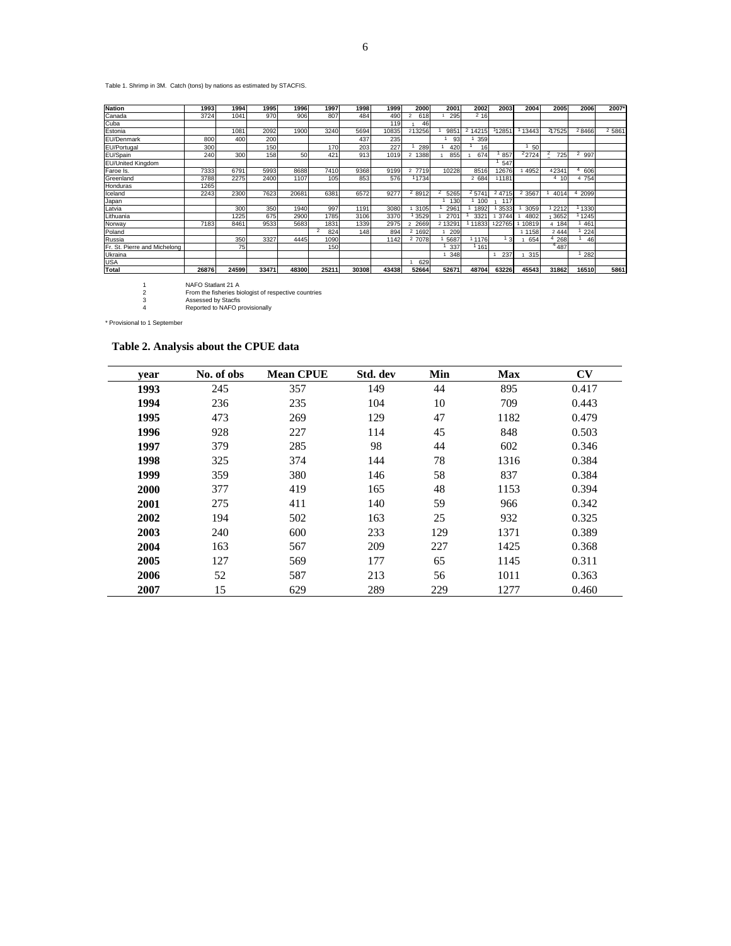Table 1. Shrimp in 3M. Catch (tons) by nations as estimated by STACFIS.

| <b>Nation</b>                | 1993  | 1994  | 1995  | 1996  | 1997            | 1998  | 1999  | 2000   | 2001   | 2002   | 2003   | 2004      | 2005   | 2006      | 2007*  |
|------------------------------|-------|-------|-------|-------|-----------------|-------|-------|--------|--------|--------|--------|-----------|--------|-----------|--------|
| Canada                       | 3724  | 1041  | 970   | 906   | 807             | 484   | 490   | 618    | 295    | 2,16   |        |           |        |           |        |
| Cuba                         |       |       |       |       |                 |       | 119   | 46     |        |        |        |           |        |           |        |
| Estonia                      |       | 1081  | 2092  | 1900  | 3240            | 5694  | 10835 | 213256 | 985    | 2 1421 | 11285  | 13443     | 217525 | 28466     | 2 5861 |
| EU/Denmark                   | 800   | 400   | 200   |       |                 | 437   | 235   |        | 93     | 359    |        |           |        |           |        |
| EU/Portugal                  | 300   |       | 150   |       | 170             | 203   | 227   | 289    | 420    | 16     |        | 50        |        |           |        |
| EU/Spain                     | 240   | 300   | 158   | 50    | 42 <sup>1</sup> | 913   | 1019  | 1388   | 855    | 674    | 857    | 2724      | 725    | 997       |        |
| EU/United Kingdom            |       |       |       |       |                 |       |       |        |        |        | 547    |           |        |           |        |
| Faroe Is.                    | 7333  | 6791  | 5993  | 8688  | 7410            | 9368  | 9199  | 2 7719 | 10228  | 8516   | 12676  | 4952      | 42341  | 606<br>4  |        |
| Greenland                    | 3788  | 2275  | 2400  | 1107  | 105             | 853   | 576   | 11734  |        | 2 684  | 11181  |           | 410    | 4 754     |        |
| Honduras                     | 1265  |       |       |       |                 |       |       |        |        |        |        |           |        |           |        |
| Iceland                      | 2243  | 2300  | 7623  | 20681 | 6381            | 6572  | 9277  | 28912  | 5265   | 25741  | 2 4715 | 2 3 5 6 7 | 4014   | 2099<br>4 |        |
| Japan                        |       |       |       |       |                 |       |       |        | 130    | 100    | 117    |           |        |           |        |
| Latvia                       |       | 300   | 350   | 1940  | 997             | 1191  | 3080  | 3105   | 2961   | 1892   | 3533   | 3059      | 2212   | 1330      |        |
| Lithuania                    |       | 1225  | 675   | 2900  | 1785            | 3106  | 3370  | 3529   | 270    | 332    | 3744   | 4802      | 3652   | 1245      |        |
| Norway                       | 7183  | 8461  | 9533  | 5683  | 183'            | 1339  | 2975  | 2669   | 2 1329 | 11833  | 22765  | 10819     | 4 184  | 461       |        |
| Poland                       |       |       |       |       | 824             | 148   | 894   | 2 1692 | 209    |        |        | 1158      | 2444   | 224       |        |
| Russia                       |       | 350   | 3327  | 4445  | 1090            |       | 1142  | 2 7078 | 5687   | 1176   | 13     | 654       | 268    | 46        |        |
| Fr. St. Pierre and Michelong |       | 75    |       |       | 150             |       |       |        | 337    | 1161   |        |           | 4487   |           |        |
| Ukraina                      |       |       |       |       |                 |       |       |        | 348    |        | 237    | 315       |        | 282       |        |
| <b>USA</b>                   |       |       |       |       |                 |       |       | 629    |        |        |        |           |        |           |        |
| <b>Total</b>                 | 26876 | 24599 | 33471 | 48300 | 25211           | 30308 | 43438 | 52664  | 52671  | 48704  | 63226  | 45543     | 31862  | 16510     | 5861   |

1 NAFO Statlant 21 A 2 From the fisheries biologist of respective countries 3 Assessed by Stacfis 4 Reported to NAFO provisionally

\* Provisional to 1 September

# **Table 2. Analysis about the CPUE data**

| vear | No. of obs | <b>Mean CPUE</b> | Std. dev | Min | <b>Max</b> | $\mathbf{C}\mathbf{V}$ |
|------|------------|------------------|----------|-----|------------|------------------------|
| 1993 | 245        | 357              | 149      | 44  | 895        | 0.417                  |
| 1994 | 236        | 235              | 104      | 10  | 709        | 0.443                  |
| 1995 | 473        | 269              | 129      | 47  | 1182       | 0.479                  |
| 1996 | 928        | 227              | 114      | 45  | 848        | 0.503                  |
| 1997 | 379        | 285              | 98       | 44  | 602        | 0.346                  |
| 1998 | 325        | 374              | 144      | 78  | 1316       | 0.384                  |
| 1999 | 359        | 380              | 146      | 58  | 837        | 0.384                  |
| 2000 | 377        | 419              | 165      | 48  | 1153       | 0.394                  |
| 2001 | 275        | 411              | 140      | 59  | 966        | 0.342                  |
| 2002 | 194        | 502              | 163      | 25  | 932        | 0.325                  |
| 2003 | 240        | 600              | 233      | 129 | 1371       | 0.389                  |
| 2004 | 163        | 567              | 209      | 227 | 1425       | 0.368                  |
| 2005 | 127        | 569              | 177      | 65  | 1145       | 0.311                  |
| 2006 | 52         | 587              | 213      | 56  | 1011       | 0.363                  |
| 2007 | 15         | 629              | 289      | 229 | 1277       | 0.460                  |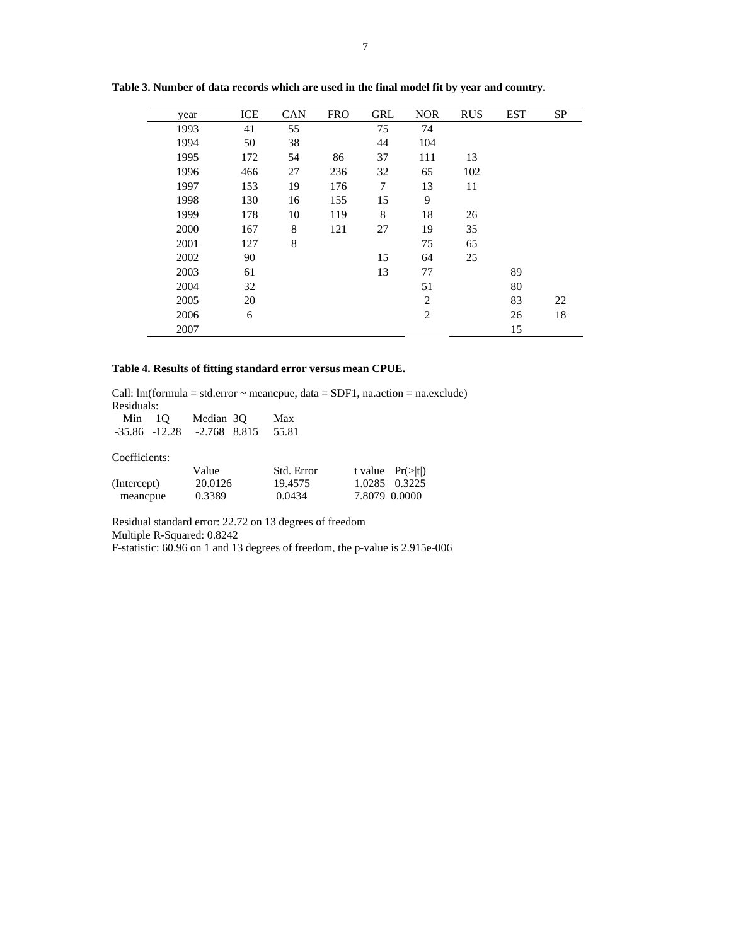| year | ICE | <b>CAN</b> | <b>FRO</b> | <b>GRL</b> | <b>NOR</b>     | <b>RUS</b> | <b>EST</b> | <b>SP</b> |
|------|-----|------------|------------|------------|----------------|------------|------------|-----------|
| 1993 | 41  | 55         |            | 75         | 74             |            |            |           |
| 1994 | 50  | 38         |            | 44         | 104            |            |            |           |
| 1995 | 172 | 54         | 86         | 37         | 111            | 13         |            |           |
| 1996 | 466 | 27         | 236        | 32         | 65             | 102        |            |           |
| 1997 | 153 | 19         | 176        | 7          | 13             | 11         |            |           |
| 1998 | 130 | 16         | 155        | 15         | 9              |            |            |           |
| 1999 | 178 | 10         | 119        | 8          | 18             | 26         |            |           |
| 2000 | 167 | 8          | 121        | 27         | 19             | 35         |            |           |
| 2001 | 127 | 8          |            |            | 75             | 65         |            |           |
| 2002 | 90  |            |            | 15         | 64             | 25         |            |           |
| 2003 | 61  |            |            | 13         | 77             |            | 89         |           |
| 2004 | 32  |            |            |            | 51             |            | 80         |           |
| 2005 | 20  |            |            |            | $\overline{2}$ |            | 83         | 22        |
| 2006 | 6   |            |            |            | $\overline{c}$ |            | 26         | 18        |
| 2007 |     |            |            |            |                |            | 15         |           |

**Table 3. Number of data records which are used in the final model fit by year and country.** 

## **Table 4. Results of fitting standard error versus mean CPUE.**

Call:  $Im(formula = std_error ~ meancque, data = SDF1, na.action = na. exclude)$ Residuals:

| $Min$ 10          | Median 30      | Max     |            |                              |
|-------------------|----------------|---------|------------|------------------------------|
| $-35.86$ $-12.28$ | $-2.768$ 8.815 | 55.81   |            |                              |
|                   |                |         |            |                              |
| Coefficients:     |                |         |            |                              |
|                   | Value          |         | Std. Error | t value $Pr(>\vert t \vert)$ |
| (Intercept)       | 20.0126        | 19.4575 | 1.0285     | 0.3225                       |
| meancpue          | 0.3389         | 0.0434  |            | 7.8079 0.0000                |

Residual standard error: 22.72 on 13 degrees of freedom Multiple R-Squared: 0.8242

F-statistic: 60.96 on 1 and 13 degrees of freedom, the p-value is 2.915e-006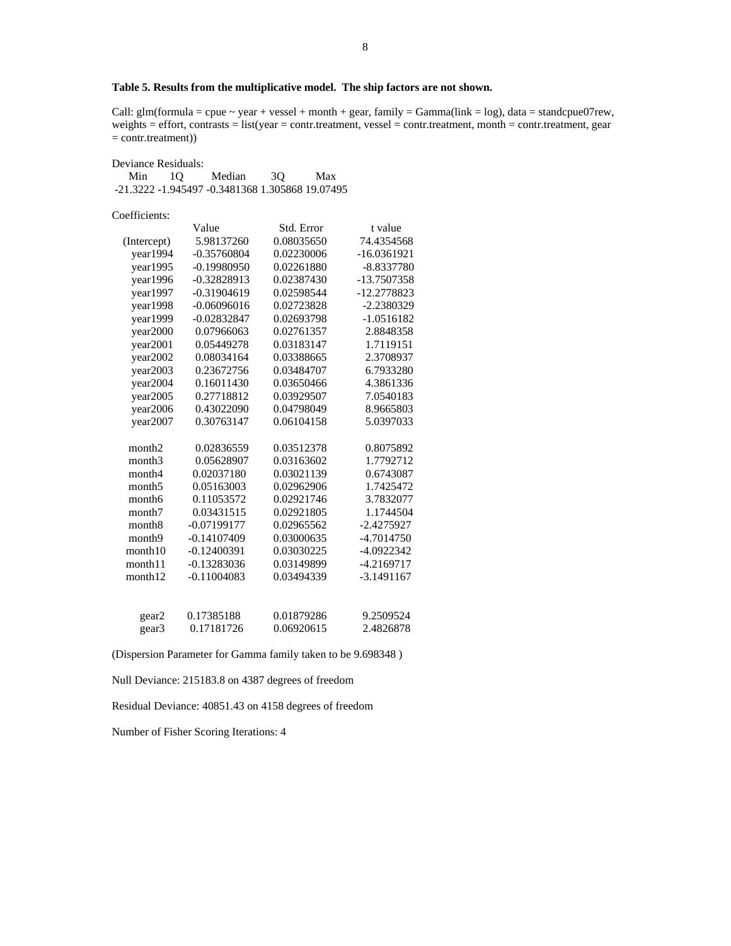# **Table 5. Results from the multiplicative model. The ship factors are not shown.**

Call:  $glm(formula = cque \sim year + vessel + month + gear$ ,  $family = Gamma(link = log)$ ,  $data = standard$  $pue07rew$ , weights = effort, contrasts = list(year = contr.treatment, vessel = contr.treatment, month = contr.treatment, gear  $=$  contr.treatment))

| Min                | 1Q | Median        | Max<br>3Q                                       |               |
|--------------------|----|---------------|-------------------------------------------------|---------------|
|                    |    |               | -21.3222 -1.945497 -0.3481368 1.305868 19.07495 |               |
|                    |    |               |                                                 |               |
| Coefficients:      |    |               |                                                 |               |
|                    |    | Value         | Std. Error                                      | t value       |
| (Intercept)        |    | 5.98137260    | 0.08035650                                      | 74.4354568    |
| year1994           |    | $-0.35760804$ | 0.02230006                                      | $-16.0361921$ |
| year1995           |    | $-0.19980950$ | 0.02261880                                      | $-8.8337780$  |
| year1996           |    | -0.32828913   | 0.02387430                                      | -13.7507358   |
| year1997           |    | $-0.31904619$ | 0.02598544                                      | -12.2778823   |
| year1998           |    | $-0.06096016$ | 0.02723828                                      | $-2.2380329$  |
| year1999           |    | $-0.02832847$ | 0.02693798                                      | $-1.0516182$  |
| year2000           |    | 0.07966063    | 0.02761357                                      | 2.8848358     |
| year2001           |    | 0.05449278    | 0.03183147                                      | 1.7119151     |
| year2002           |    | 0.08034164    | 0.03388665                                      | 2.3708937     |
| year2003           |    | 0.23672756    | 0.03484707                                      | 6.7933280     |
| year2004           |    | 0.16011430    | 0.03650466                                      | 4.3861336     |
| year2005           |    | 0.27718812    | 0.03929507                                      | 7.0540183     |
| year2006           |    | 0.43022090    | 0.04798049                                      | 8.9665803     |
| year2007           |    | 0.30763147    | 0.06104158                                      | 5.0397033     |
|                    |    |               |                                                 |               |
| month <sub>2</sub> |    | 0.02836559    | 0.03512378                                      | 0.8075892     |
| month <sub>3</sub> |    | 0.05628907    | 0.03163602                                      | 1.7792712     |
| month4             |    | 0.02037180    | 0.03021139                                      | 0.6743087     |
| month <sub>5</sub> |    | 0.05163003    | 0.02962906                                      | 1.7425472     |
| month6             |    | 0.11053572    | 0.02921746                                      | 3.7832077     |
| month7             |    | 0.03431515    | 0.02921805                                      | 1.1744504     |
| month <sub>8</sub> |    | $-0.07199177$ | 0.02965562                                      | $-2.4275927$  |
| month <sub>9</sub> |    | $-0.14107409$ | 0.03000635                                      | -4.7014750    |
| month10            |    | $-0.12400391$ | 0.03030225                                      | $-4.0922342$  |
| month11            |    | $-0.13283036$ | 0.03149899                                      | $-4.2169717$  |
| month12            |    | $-0.11004083$ | 0.03494339                                      | $-3.1491167$  |
|                    |    |               |                                                 |               |
|                    |    |               |                                                 |               |
| gear2              |    | 0.17385188    | 0.01879286                                      | 9.2509524     |
| gear3              |    | 0.17181726    | 0.06920615                                      | 2.4826878     |

(Dispersion Parameter for Gamma family taken to be 9.698348 )

Null Deviance: 215183.8 on 4387 degrees of freedom

Residual Deviance: 40851.43 on 4158 degrees of freedom

Number of Fisher Scoring Iterations: 4

Deviance Residuals: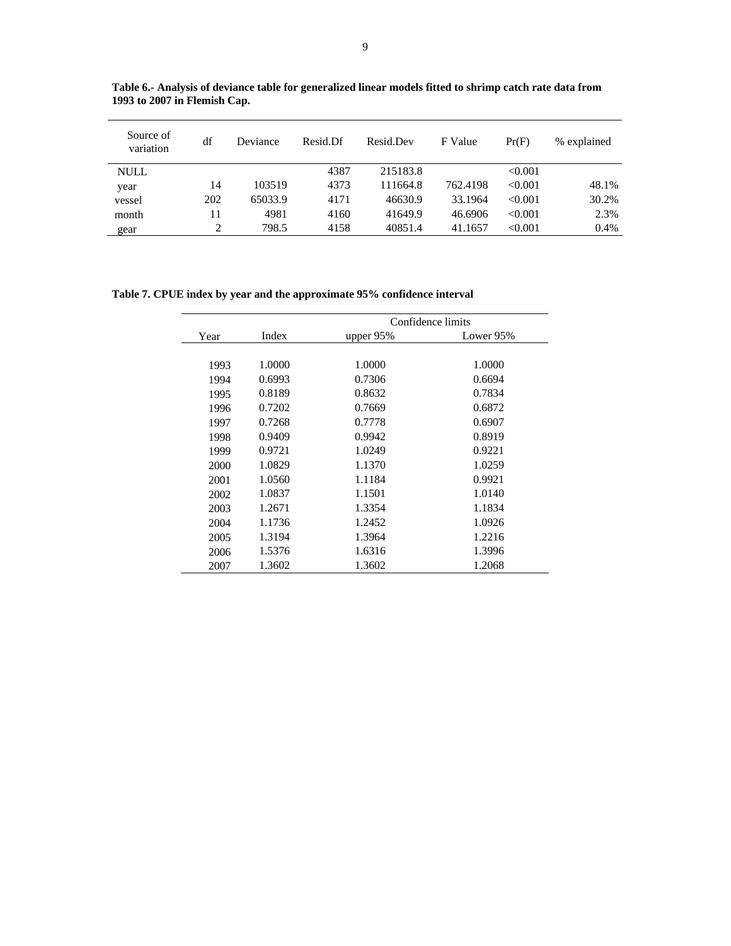| Source of<br>variation | df  | Deviance | Resid.Df | Resid.Dev | F Value  | Pr(F)   | % explained |
|------------------------|-----|----------|----------|-----------|----------|---------|-------------|
| <b>NULL</b>            |     |          | 4387     | 215183.8  |          | < 0.001 |             |
| year                   | 14  | 103519   | 4373     | 111664.8  | 762.4198 | < 0.001 | 48.1%       |
| vessel                 | 202 | 65033.9  | 4171     | 46630.9   | 33.1964  | < 0.001 | 30.2%       |
| month                  | 11  | 4981     | 4160     | 41649.9   | 46.6906  | < 0.001 | 2.3%        |
| gear                   | 2   | 798.5    | 4158     | 40851.4   | 41.1657  | < 0.001 | 0.4%        |

**Table 6.- Analysis of deviance table for generalized linear models fitted to shrimp catch rate data from 1993 to 2007 in Flemish Cap.** 

**Table 7. CPUE index by year and the approximate 95% confidence interval** 

|      |        |             | Confidence limits |
|------|--------|-------------|-------------------|
| Year | Index  | upper $95%$ | Lower 95%         |
|      |        |             |                   |
| 1993 | 1.0000 | 1.0000      | 1.0000            |
| 1994 | 0.6993 | 0.7306      | 0.6694            |
| 1995 | 0.8189 | 0.8632      | 0.7834            |
| 1996 | 0.7202 | 0.7669      | 0.6872            |
| 1997 | 0.7268 | 0.7778      | 0.6907            |
| 1998 | 0.9409 | 0.9942      | 0.8919            |
| 1999 | 0.9721 | 1.0249      | 0.9221            |
| 2000 | 1.0829 | 1.1370      | 1.0259            |
| 2001 | 1.0560 | 1.1184      | 0.9921            |
| 2002 | 1.0837 | 1.1501      | 1.0140            |
| 2003 | 1.2671 | 1.3354      | 1.1834            |
| 2004 | 1.1736 | 1.2452      | 1.0926            |
| 2005 | 1.3194 | 1.3964      | 1.2216            |
| 2006 | 1.5376 | 1.6316      | 1.3996            |
| 2007 | 1.3602 | 1.3602      | 1.2068            |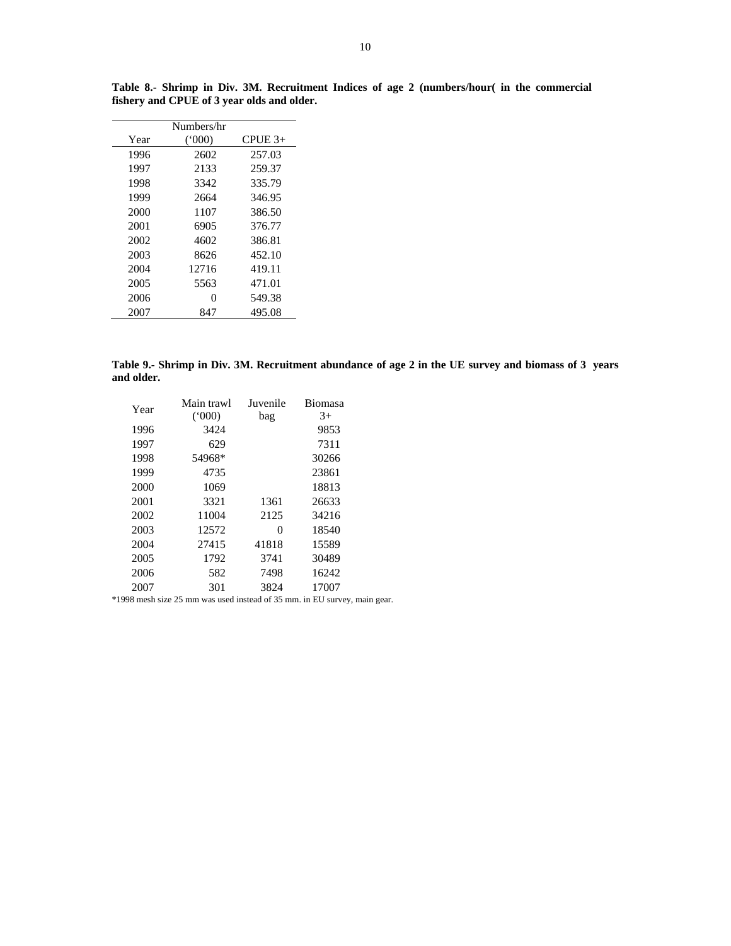|      | Numbers/hr        |           |
|------|-------------------|-----------|
| Year | (000)             | $CPIE$ 3+ |
| 1996 | 2602              | 257.03    |
| 1997 | 2133              | 259.37    |
| 1998 | 3342              | 335.79    |
| 1999 | 2664              | 346.95    |
| 2000 | 1107              | 386.50    |
| 2001 | 6905              | 376.77    |
| 2002 | 4602              | 386.81    |
| 2003 | 8626              | 452.10    |
| 2004 | 12716             | 419.11    |
| 2005 | 5563              | 471.01    |
| 2006 | $\mathbf{\Omega}$ | 549.38    |
| 2007 | 847               | 495.08    |

**Table 8.- Shrimp in Div. 3M. Recruitment Indices of age 2 (numbers/hour( in the commercial fishery and CPUE of 3 year olds and older.** 

**Table 9.- Shrimp in Div. 3M. Recruitment abundance of age 2 in the UE survey and biomass of 3 years and older.** 

| Year | Main trawl | Juvenile | <b>Biomasa</b> |
|------|------------|----------|----------------|
|      | (000)      | bag      | $3+$           |
| 1996 | 3424       |          | 9853           |
| 1997 | 629        |          | 7311           |
| 1998 | 54968*     |          | 30266          |
| 1999 | 4735       |          | 23861          |
| 2000 | 1069       |          | 18813          |
| 2001 | 3321       | 1361     | 26633          |
| 2002 | 11004      | 2125     | 34216          |
| 2003 | 12572      | 0        | 18540          |
| 2004 | 27415      | 41818    | 15589          |
| 2005 | 1792       | 3741     | 30489          |
| 2006 | 582        | 7498     | 16242          |
| 2007 | 301        | 3824     | 17007          |

\*1998 mesh size 25 mm was used instead of 35 mm. in EU survey, main gear.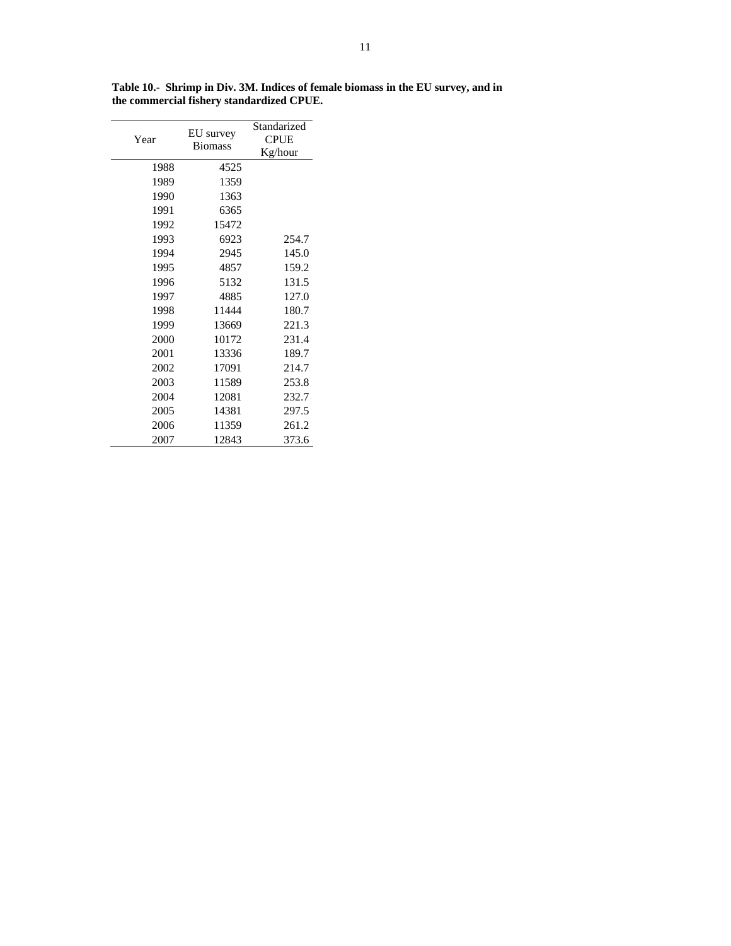| Year | EU survey<br><b>Biomass</b> | Standarized<br><b>CPUE</b><br>Kg/hour |
|------|-----------------------------|---------------------------------------|
| 1988 | 4525                        |                                       |
| 1989 | 1359                        |                                       |
| 1990 | 1363                        |                                       |
| 1991 | 6365                        |                                       |
| 1992 | 15472                       |                                       |
| 1993 | 6923                        | 254.7                                 |
| 1994 | 2945                        | 145.0                                 |
| 1995 | 4857                        | 159.2                                 |
| 1996 | 5132                        | 131.5                                 |
| 1997 | 4885                        | 127.0                                 |
| 1998 | 11444                       | 180.7                                 |
| 1999 | 13669                       | 221.3                                 |
| 2000 | 10172                       | 231.4                                 |
| 2001 | 13336                       | 189.7                                 |
| 2002 | 17091                       | 214.7                                 |
| 2003 | 11589                       | 253.8                                 |
| 2004 | 12081                       | 232.7                                 |
| 2005 | 14381                       | 297.5                                 |
| 2006 | 11359                       | 261.2                                 |
| 2007 | 12843                       | 373.6                                 |

**Table 10.- Shrimp in Div. 3M. Indices of female biomass in the EU survey, and in the commercial fishery standardized CPUE.**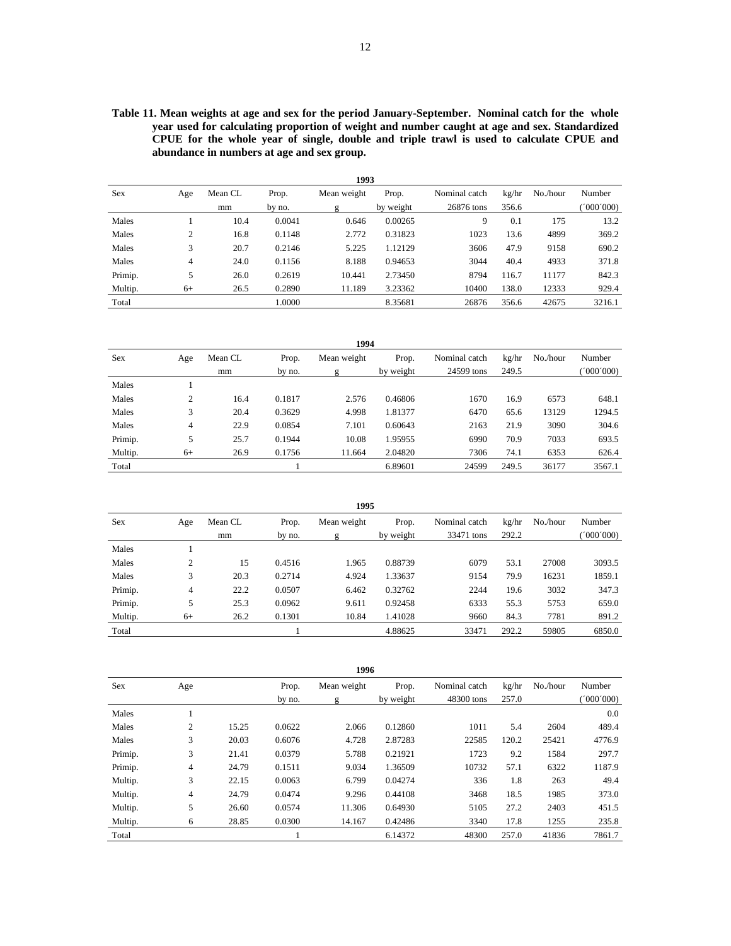**Table 11. Mean weights at age and sex for the period January-September. Nominal catch for the whole year used for calculating proportion of weight and number caught at age and sex. Standardized CPUE for the whole year of single, double and triple trawl is used to calculate CPUE and abundance in numbers at age and sex group.** 

|         | 1993 |         |        |             |           |               |       |          |           |  |  |
|---------|------|---------|--------|-------------|-----------|---------------|-------|----------|-----------|--|--|
| Sex     | Age  | Mean CL | Prop.  | Mean weight | Prop.     | Nominal catch | kg/hr | No./hour | Number    |  |  |
|         |      | mm      | by no. | g           | by weight | 26876 tons    | 356.6 |          | (000'000) |  |  |
| Males   |      | 10.4    | 0.0041 | 0.646       | 0.00265   | 9             | 0.1   | 175      | 13.2      |  |  |
| Males   | 2    | 16.8    | 0.1148 | 2.772       | 0.31823   | 1023          | 13.6  | 4899     | 369.2     |  |  |
| Males   | 3    | 20.7    | 0.2146 | 5.225       | 1.12129   | 3606          | 47.9  | 9158     | 690.2     |  |  |
| Males   | 4    | 24.0    | 0.1156 | 8.188       | 0.94653   | 3044          | 40.4  | 4933     | 371.8     |  |  |
| Primip. | 5    | 26.0    | 0.2619 | 10.441      | 2.73450   | 8794          | 116.7 | 11177    | 842.3     |  |  |
| Multip. | $6+$ | 26.5    | 0.2890 | 11.189      | 3.23362   | 10400         | 138.0 | 12333    | 929.4     |  |  |
| Total   |      |         | 1.0000 |             | 8.35681   | 26876         | 356.6 | 42675    | 3216.1    |  |  |

**1994**

|         | エンブサ           |         |        |             |           |               |       |          |           |  |  |  |  |
|---------|----------------|---------|--------|-------------|-----------|---------------|-------|----------|-----------|--|--|--|--|
| Sex     | Age            | Mean CL | Prop.  | Mean weight | Prop.     | Nominal catch | kg/hr | No./hour | Number    |  |  |  |  |
|         |                | mm      | by no. | g           | by weight | 24599 tons    | 249.5 |          | (1000000) |  |  |  |  |
| Males   |                |         |        |             |           |               |       |          |           |  |  |  |  |
| Males   | $\overline{c}$ | 16.4    | 0.1817 | 2.576       | 0.46806   | 1670          | 16.9  | 6573     | 648.1     |  |  |  |  |
| Males   | 3              | 20.4    | 0.3629 | 4.998       | 1.81377   | 6470          | 65.6  | 13129    | 1294.5    |  |  |  |  |
| Males   | 4              | 22.9    | 0.0854 | 7.101       | 0.60643   | 2163          | 21.9  | 3090     | 304.6     |  |  |  |  |
| Primip. | 5              | 25.7    | 0.1944 | 10.08       | 1.95955   | 6990          | 70.9  | 7033     | 693.5     |  |  |  |  |
| Multip. | $6+$           | 26.9    | 0.1756 | 11.664      | 2.04820   | 7306          | 74.1  | 6353     | 626.4     |  |  |  |  |
| Total   |                |         |        |             | 6.89601   | 24599         | 249.5 | 36177    | 3567.1    |  |  |  |  |

|         |                   |         |        | 1995        |           |               |       |          |           |
|---------|-------------------|---------|--------|-------------|-----------|---------------|-------|----------|-----------|
| Sex     | Age               | Mean CL | Prop.  | Mean weight | Prop.     | Nominal catch | kg/hr | No./hour | Number    |
|         |                   | mm      | by no. |             | by weight | 33471 tons    | 292.2 |          | (000'000) |
| Males   |                   |         |        |             |           |               |       |          |           |
| Males   | <sup>1</sup><br>∠ | 15      | 0.4516 | 1.965       | 0.88739   | 6079          | 53.1  | 27008    | 3093.5    |
| Males   | 3                 | 20.3    | 0.2714 | 4.924       | 1.33637   | 9154          | 79.9  | 16231    | 1859.1    |
| Primip. | 4                 | 22.2    | 0.0507 | 6.462       | 0.32762   | 2244          | 19.6  | 3032     | 347.3     |
| Primip. | 5                 | 25.3    | 0.0962 | 9.611       | 0.92458   | 6333          | 55.3  | 5753     | 659.0     |
| Multip. | $6+$              | 26.2    | 0.1301 | 10.84       | 1.41028   | 9660          | 84.3  | 7781     | 891.2     |
| Total   |                   |         |        |             | 4.88625   | 33471         | 292.2 | 59805    | 6850.0    |

|         | 1996           |       |        |             |           |               |       |          |          |  |  |  |  |
|---------|----------------|-------|--------|-------------|-----------|---------------|-------|----------|----------|--|--|--|--|
| Sex     | Age            |       | Prop.  | Mean weight | Prop.     | Nominal catch | kg/hr | No./hour | Number   |  |  |  |  |
|         |                |       | by no. | g           | by weight | 48300 tons    | 257.0 |          | '000'000 |  |  |  |  |
| Males   | 1              |       |        |             |           |               |       |          | 0.0      |  |  |  |  |
| Males   | 2              | 15.25 | 0.0622 | 2.066       | 0.12860   | 1011          | 5.4   | 2604     | 489.4    |  |  |  |  |
| Males   | 3              | 20.03 | 0.6076 | 4.728       | 2.87283   | 22585         | 120.2 | 25421    | 4776.9   |  |  |  |  |
| Primip. | 3              | 21.41 | 0.0379 | 5.788       | 0.21921   | 1723          | 9.2   | 1584     | 297.7    |  |  |  |  |
| Primip. | $\overline{4}$ | 24.79 | 0.1511 | 9.034       | 1.36509   | 10732         | 57.1  | 6322     | 1187.9   |  |  |  |  |
| Multip. | 3              | 22.15 | 0.0063 | 6.799       | 0.04274   | 336           | 1.8   | 263      | 49.4     |  |  |  |  |
| Multip. | 4              | 24.79 | 0.0474 | 9.296       | 0.44108   | 3468          | 18.5  | 1985     | 373.0    |  |  |  |  |
| Multip. | 5              | 26.60 | 0.0574 | 11.306      | 0.64930   | 5105          | 27.2  | 2403     | 451.5    |  |  |  |  |
| Multip. | 6              | 28.85 | 0.0300 | 14.167      | 0.42486   | 3340          | 17.8  | 1255     | 235.8    |  |  |  |  |
| Total   |                |       |        |             | 6.14372   | 48300         | 257.0 | 41836    | 7861.7   |  |  |  |  |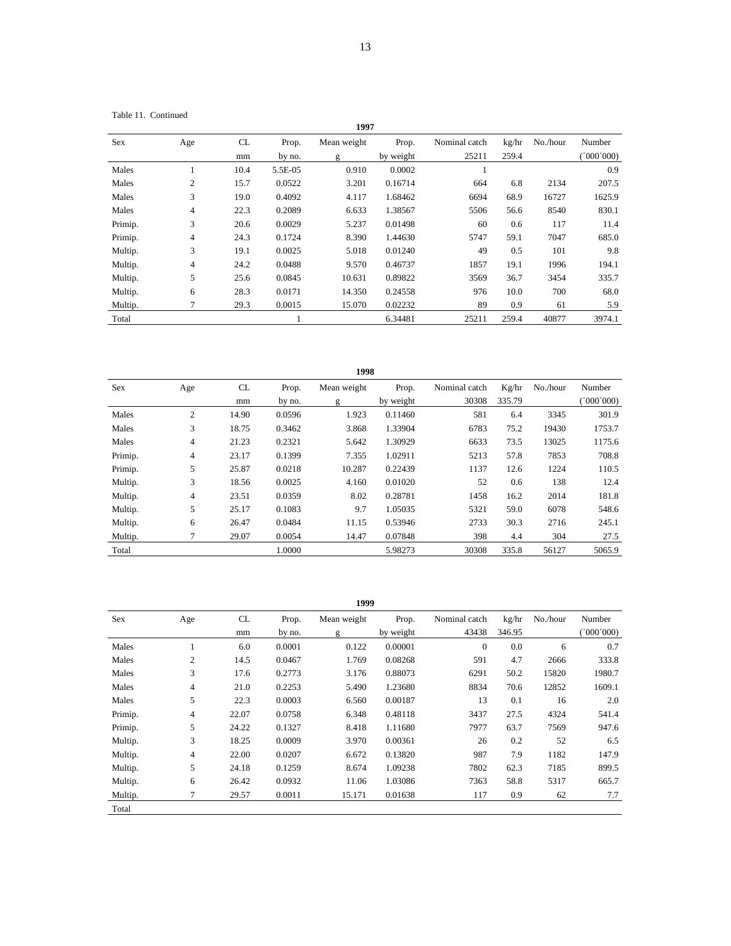Table 11. Continued

|            | 1997           |          |                 |                  |                    |                        |                |          |                     |  |  |  |  |
|------------|----------------|----------|-----------------|------------------|--------------------|------------------------|----------------|----------|---------------------|--|--|--|--|
| <b>Sex</b> | Age            | CL<br>mm | Prop.<br>by no. | Mean weight<br>g | Prop.<br>by weight | Nominal catch<br>25211 | kg/hr<br>259.4 | No./hour | Number<br>(000'000) |  |  |  |  |
| Males      |                | 10.4     | 5.5E-05         | 0.910            | 0.0002             |                        |                |          | 0.9                 |  |  |  |  |
| Males      | $\mathfrak{2}$ | 15.7     | 0.0522          | 3.201            | 0.16714            | 664                    | 6.8            | 2134     | 207.5               |  |  |  |  |
| Males      | 3              | 19.0     | 0.4092          | 4.117            | 1.68462            | 6694                   | 68.9           | 16727    | 1625.9              |  |  |  |  |
| Males      | $\overline{4}$ | 22.3     | 0.2089          | 6.633            | 1.38567            | 5506                   | 56.6           | 8540     | 830.1               |  |  |  |  |
| Primip.    | 3              | 20.6     | 0.0029          | 5.237            | 0.01498            | 60                     | 0.6            | 117      | 11.4                |  |  |  |  |
| Primip.    | 4              | 24.3     | 0.1724          | 8.390            | 1.44630            | 5747                   | 59.1           | 7047     | 685.0               |  |  |  |  |
| Multip.    | 3              | 19.1     | 0.0025          | 5.018            | 0.01240            | 49                     | 0.5            | 101      | 9.8                 |  |  |  |  |
| Multip.    | $\overline{4}$ | 24.2     | 0.0488          | 9.570            | 0.46737            | 1857                   | 19.1           | 1996     | 194.1               |  |  |  |  |
| Multip.    | 5              | 25.6     | 0.0845          | 10.631           | 0.89822            | 3569                   | 36.7           | 3454     | 335.7               |  |  |  |  |
| Multip.    | 6              | 28.3     | 0.0171          | 14.350           | 0.24558            | 976                    | 10.0           | 700      | 68.0                |  |  |  |  |
| Multip.    | 7              | 29.3     | 0.0015          | 15.070           | 0.02232            | 89                     | 0.9            | 61       | 5.9                 |  |  |  |  |
| Total      |                |          |                 |                  | 6.34481            | 25211                  | 259.4          | 40877    | 3974.1              |  |  |  |  |

|         | 1998           |       |        |             |           |               |        |          |           |  |  |  |  |  |
|---------|----------------|-------|--------|-------------|-----------|---------------|--------|----------|-----------|--|--|--|--|--|
| Sex     | Age            | CL    | Prop.  | Mean weight | Prop.     | Nominal catch | Kg/hr  | No./hour | Number    |  |  |  |  |  |
|         |                | mm    | by no. | g           | by weight | 30308         | 335.79 |          | (000'000) |  |  |  |  |  |
| Males   | $\overline{2}$ | 14.90 | 0.0596 | 1.923       | 0.11460   | 581           | 6.4    | 3345     | 301.9     |  |  |  |  |  |
| Males   | 3              | 18.75 | 0.3462 | 3.868       | 1.33904   | 6783          | 75.2   | 19430    | 1753.7    |  |  |  |  |  |
| Males   | 4              | 21.23 | 0.2321 | 5.642       | 1.30929   | 6633          | 73.5   | 13025    | 1175.6    |  |  |  |  |  |
| Primip. | $\overline{4}$ | 23.17 | 0.1399 | 7.355       | 1.02911   | 5213          | 57.8   | 7853     | 708.8     |  |  |  |  |  |
| Primip. | 5              | 25.87 | 0.0218 | 10.287      | 0.22439   | 1137          | 12.6   | 1224     | 110.5     |  |  |  |  |  |
| Multip. | 3              | 18.56 | 0.0025 | 4.160       | 0.01020   | 52            | 0.6    | 138      | 12.4      |  |  |  |  |  |
| Multip. | 4              | 23.51 | 0.0359 | 8.02        | 0.28781   | 1458          | 16.2   | 2014     | 181.8     |  |  |  |  |  |
| Multip. | 5              | 25.17 | 0.1083 | 9.7         | 1.05035   | 5321          | 59.0   | 6078     | 548.6     |  |  |  |  |  |
| Multip. | 6              | 26.47 | 0.0484 | 11.15       | 0.53946   | 2733          | 30.3   | 2716     | 245.1     |  |  |  |  |  |
| Multip. | 7              | 29.07 | 0.0054 | 14.47       | 0.07848   | 398           | 4.4    | 304      | 27.5      |  |  |  |  |  |
| Total   |                |       | 1.0000 |             | 5.98273   | 30308         | 335.8  | 56127    | 5065.9    |  |  |  |  |  |

| 1999    |     |       |        |             |           |               |        |          |           |  |  |  |
|---------|-----|-------|--------|-------------|-----------|---------------|--------|----------|-----------|--|--|--|
| Sex     | Age | CL.   | Prop.  | Mean weight | Prop.     | Nominal catch | kg/hr  | No./hour | Number    |  |  |  |
|         |     | mm    | by no. | g           | by weight | 43438         | 346.95 |          | (000'000) |  |  |  |
| Males   |     | 6.0   | 0.0001 | 0.122       | 0.00001   | $\Omega$      | 0.0    | 6        | 0.7       |  |  |  |
| Males   | 2   | 14.5  | 0.0467 | 1.769       | 0.08268   | 591           | 4.7    | 2666     | 333.8     |  |  |  |
| Males   | 3   | 17.6  | 0.2773 | 3.176       | 0.88073   | 6291          | 50.2   | 15820    | 1980.7    |  |  |  |
| Males   | 4   | 21.0  | 0.2253 | 5.490       | 1.23680   | 8834          | 70.6   | 12852    | 1609.1    |  |  |  |
| Males   | 5   | 22.3  | 0.0003 | 6.560       | 0.00187   | 13            | 0.1    | 16       | 2.0       |  |  |  |
| Primip. | 4   | 22.07 | 0.0758 | 6.348       | 0.48118   | 3437          | 27.5   | 4324     | 541.4     |  |  |  |
| Primip. | 5   | 24.22 | 0.1327 | 8.418       | 1.11680   | 7977          | 63.7   | 7569     | 947.6     |  |  |  |
| Multip. | 3   | 18.25 | 0.0009 | 3.970       | 0.00361   | 26            | 0.2    | 52       | 6.5       |  |  |  |
| Multip. | 4   | 22.00 | 0.0207 | 6.672       | 0.13820   | 987           | 7.9    | 1182     | 147.9     |  |  |  |
| Multip. | 5   | 24.18 | 0.1259 | 8.674       | 1.09238   | 7802          | 62.3   | 7185     | 899.5     |  |  |  |
| Multip. | 6   | 26.42 | 0.0932 | 11.06       | 1.03086   | 7363          | 58.8   | 5317     | 665.7     |  |  |  |
| Multip. | 7   | 29.57 | 0.0011 | 15.171      | 0.01638   | 117           | 0.9    | 62       | 7.7       |  |  |  |
| Total   |     |       |        |             |           |               |        |          |           |  |  |  |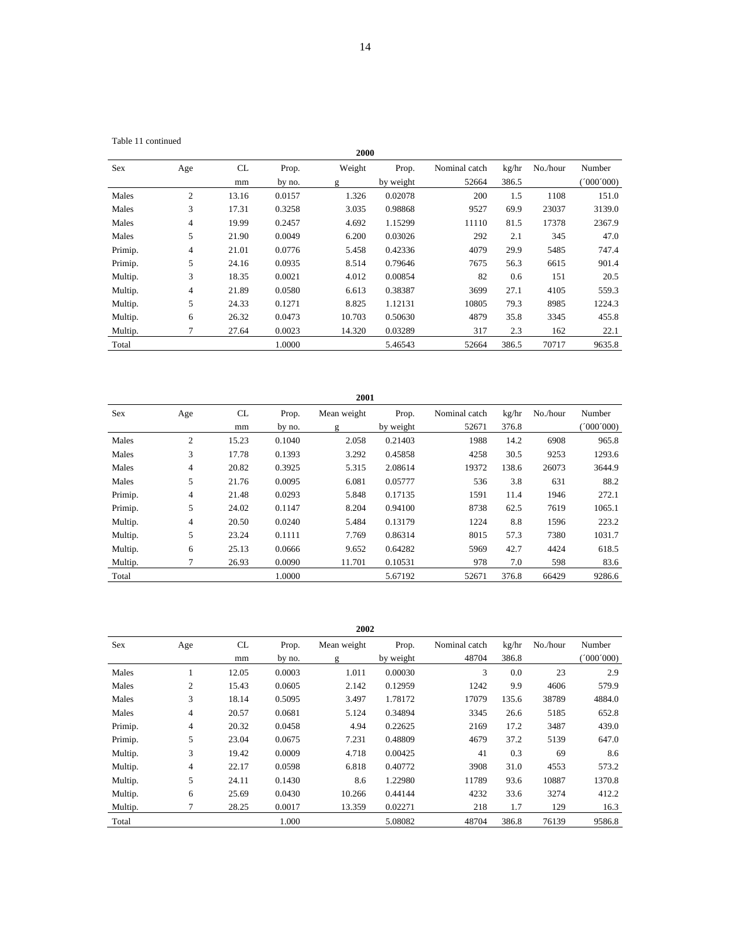|  | Table 11 continued |
|--|--------------------|
|--|--------------------|

|         |                |          |                 | 2000        |                    |                        |                |          |                     |
|---------|----------------|----------|-----------------|-------------|--------------------|------------------------|----------------|----------|---------------------|
| Sex     | Age            | CL<br>mm | Prop.<br>by no. | Weight<br>g | Prop.<br>by weight | Nominal catch<br>52664 | kg/hr<br>386.5 | No./hour | Number<br>(000'000) |
| Males   | $\overline{c}$ | 13.16    | 0.0157          | 1.326       | 0.02078            | 200                    | 1.5            | 1108     | 151.0               |
| Males   | 3              | 17.31    | 0.3258          | 3.035       | 0.98868            | 9527                   | 69.9           | 23037    | 3139.0              |
| Males   | $\overline{4}$ | 19.99    | 0.2457          | 4.692       | 1.15299            | 11110                  | 81.5           | 17378    | 2367.9              |
| Males   | 5              | 21.90    | 0.0049          | 6.200       | 0.03026            | 292                    | 2.1            | 345      | 47.0                |
| Primip. | 4              | 21.01    | 0.0776          | 5.458       | 0.42336            | 4079                   | 29.9           | 5485     | 747.4               |
| Primip. | 5              | 24.16    | 0.0935          | 8.514       | 0.79646            | 7675                   | 56.3           | 6615     | 901.4               |
| Multip. | 3              | 18.35    | 0.0021          | 4.012       | 0.00854            | 82                     | 0.6            | 151      | 20.5                |
| Multip. | $\overline{4}$ | 21.89    | 0.0580          | 6.613       | 0.38387            | 3699                   | 27.1           | 4105     | 559.3               |
| Multip. | 5              | 24.33    | 0.1271          | 8.825       | 1.12131            | 10805                  | 79.3           | 8985     | 1224.3              |
| Multip. | 6              | 26.32    | 0.0473          | 10.703      | 0.50630            | 4879                   | 35.8           | 3345     | 455.8               |
| Multip. | 7              | 27.64    | 0.0023          | 14.320      | 0.03289            | 317                    | 2.3            | 162      | 22.1                |
| Total   |                |          | 1.0000          |             | 5.46543            | 52664                  | 386.5          | 70717    | 9635.8              |

|         | 2001           |       |        |             |           |               |       |          |           |  |  |  |  |  |
|---------|----------------|-------|--------|-------------|-----------|---------------|-------|----------|-----------|--|--|--|--|--|
| Sex     | Age            | CL    | Prop.  | Mean weight | Prop.     | Nominal catch | kg/hr | No./hour | Number    |  |  |  |  |  |
|         |                | mm    | by no. | g           | by weight | 52671         | 376.8 |          | (000'000) |  |  |  |  |  |
| Males   | 2              | 15.23 | 0.1040 | 2.058       | 0.21403   | 1988          | 14.2  | 6908     | 965.8     |  |  |  |  |  |
| Males   | 3              | 17.78 | 0.1393 | 3.292       | 0.45858   | 4258          | 30.5  | 9253     | 1293.6    |  |  |  |  |  |
| Males   | $\overline{4}$ | 20.82 | 0.3925 | 5.315       | 2.08614   | 19372         | 138.6 | 26073    | 3644.9    |  |  |  |  |  |
| Males   | 5              | 21.76 | 0.0095 | 6.081       | 0.05777   | 536           | 3.8   | 631      | 88.2      |  |  |  |  |  |
| Primip. | $\overline{4}$ | 21.48 | 0.0293 | 5.848       | 0.17135   | 1591          | 11.4  | 1946     | 272.1     |  |  |  |  |  |
| Primip. | 5              | 24.02 | 0.1147 | 8.204       | 0.94100   | 8738          | 62.5  | 7619     | 1065.1    |  |  |  |  |  |
| Multip. | 4              | 20.50 | 0.0240 | 5.484       | 0.13179   | 1224          | 8.8   | 1596     | 223.2     |  |  |  |  |  |
| Multip. | 5              | 23.24 | 0.1111 | 7.769       | 0.86314   | 8015          | 57.3  | 7380     | 1031.7    |  |  |  |  |  |
| Multip. | 6              | 25.13 | 0.0666 | 9.652       | 0.64282   | 5969          | 42.7  | 4424     | 618.5     |  |  |  |  |  |
| Multip. |                | 26.93 | 0.0090 | 11.701      | 0.10531   | 978           | 7.0   | 598      | 83.6      |  |  |  |  |  |
| Total   |                |       | 1.0000 |             | 5.67192   | 52671         | 376.8 | 66429    | 9286.6    |  |  |  |  |  |

|         | 2002           |       |        |             |           |               |       |          |          |  |  |  |  |
|---------|----------------|-------|--------|-------------|-----------|---------------|-------|----------|----------|--|--|--|--|
| Sex     | Age            | CL    | Prop.  | Mean weight | Prop.     | Nominal catch | kg/hr | No./hour | Number   |  |  |  |  |
|         |                | mm    | by no. | g           | by weight | 48704         | 386.8 |          | (000000) |  |  |  |  |
| Males   |                | 12.05 | 0.0003 | 1.011       | 0.00030   | 3             | 0.0   | 23       | 2.9      |  |  |  |  |
| Males   | $\overline{c}$ | 15.43 | 0.0605 | 2.142       | 0.12959   | 1242          | 9.9   | 4606     | 579.9    |  |  |  |  |
| Males   | 3              | 18.14 | 0.5095 | 3.497       | 1.78172   | 17079         | 135.6 | 38789    | 4884.0   |  |  |  |  |
| Males   | $\overline{4}$ | 20.57 | 0.0681 | 5.124       | 0.34894   | 3345          | 26.6  | 5185     | 652.8    |  |  |  |  |
| Primip. | 4              | 20.32 | 0.0458 | 4.94        | 0.22625   | 2169          | 17.2  | 3487     | 439.0    |  |  |  |  |
| Primip. | 5              | 23.04 | 0.0675 | 7.231       | 0.48809   | 4679          | 37.2  | 5139     | 647.0    |  |  |  |  |
| Multip. | 3              | 19.42 | 0.0009 | 4.718       | 0.00425   | 41            | 0.3   | 69       | 8.6      |  |  |  |  |
| Multip. | 4              | 22.17 | 0.0598 | 6.818       | 0.40772   | 3908          | 31.0  | 4553     | 573.2    |  |  |  |  |
| Multip. | 5              | 24.11 | 0.1430 | 8.6         | 1.22980   | 11789         | 93.6  | 10887    | 1370.8   |  |  |  |  |
| Multip. | 6              | 25.69 | 0.0430 | 10.266      | 0.44144   | 4232          | 33.6  | 3274     | 412.2    |  |  |  |  |
| Multip. |                | 28.25 | 0.0017 | 13.359      | 0.02271   | 218           | 1.7   | 129      | 16.3     |  |  |  |  |
| Total   |                |       | 1.000  |             | 5.08082   | 48704         | 386.8 | 76139    | 9586.8   |  |  |  |  |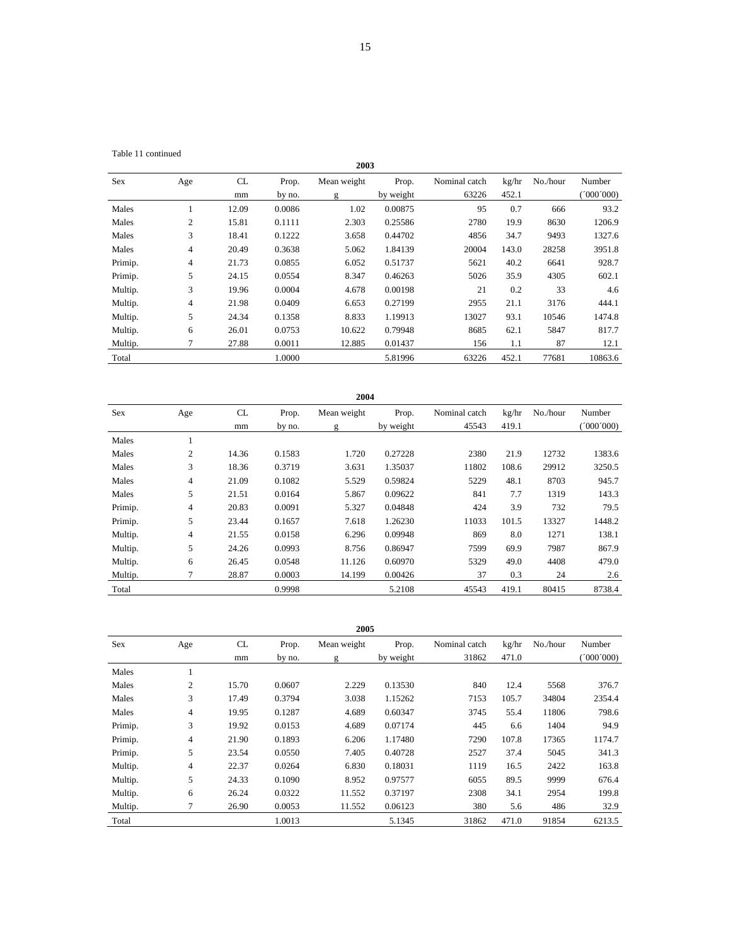| Sex     | Age            | CL    | Prop.  | Mean weight | Prop.     | Nominal catch | kg/hr | No./hour | Number  |
|---------|----------------|-------|--------|-------------|-----------|---------------|-------|----------|---------|
|         |                | mm    | by no. | g           | by weight | 63226         | 452.1 |          | 000'000 |
| Males   |                | 12.09 | 0.0086 | 1.02        | 0.00875   | 95            | 0.7   | 666      | 93.2    |
| Males   | $\overline{c}$ | 15.81 | 0.1111 | 2.303       | 0.25586   | 2780          | 19.9  | 8630     | 1206.9  |
| Males   | 3              | 18.41 | 0.1222 | 3.658       | 0.44702   | 4856          | 34.7  | 9493     | 1327.6  |
| Males   | 4              | 20.49 | 0.3638 | 5.062       | 1.84139   | 20004         | 143.0 | 28258    | 3951.8  |
| Primip. | $\overline{4}$ | 21.73 | 0.0855 | 6.052       | 0.51737   | 5621          | 40.2  | 6641     | 928.7   |
| Primip. | 5              | 24.15 | 0.0554 | 8.347       | 0.46263   | 5026          | 35.9  | 4305     | 602.1   |
| Multip. | 3              | 19.96 | 0.0004 | 4.678       | 0.00198   | 21            | 0.2   | 33       | 4.6     |
| Multip. | $\overline{4}$ | 21.98 | 0.0409 | 6.653       | 0.27199   | 2955          | 21.1  | 3176     | 444.1   |
| Multip. | 5              | 24.34 | 0.1358 | 8.833       | 1.19913   | 13027         | 93.1  | 10546    | 1474.8  |
| Multip. | 6              | 26.01 | 0.0753 | 10.622      | 0.79948   | 8685          | 62.1  | 5847     | 817.7   |
| Multip. |                | 27.88 | 0.0011 | 12.885      | 0.01437   | 156           | 1.1   | 87       | 12.1    |
| Total   |                |       | 1.0000 |             | 5.81996   | 63226         | 452.1 | 77681    | 10863.6 |

|            | 2004 |       |        |             |           |               |       |          |           |  |  |  |  |  |
|------------|------|-------|--------|-------------|-----------|---------------|-------|----------|-----------|--|--|--|--|--|
| <b>Sex</b> | Age  | CL    | Prop.  | Mean weight | Prop.     | Nominal catch | kg/hr | No./hour | Number    |  |  |  |  |  |
|            |      | mm    | by no. | g           | by weight | 45543         | 419.1 |          | (000,000) |  |  |  |  |  |
| Males      |      |       |        |             |           |               |       |          |           |  |  |  |  |  |
| Males      | 2    | 14.36 | 0.1583 | 1.720       | 0.27228   | 2380          | 21.9  | 12732    | 1383.6    |  |  |  |  |  |
| Males      | 3    | 18.36 | 0.3719 | 3.631       | 1.35037   | 11802         | 108.6 | 29912    | 3250.5    |  |  |  |  |  |
| Males      | 4    | 21.09 | 0.1082 | 5.529       | 0.59824   | 5229          | 48.1  | 8703     | 945.7     |  |  |  |  |  |
| Males      | 5    | 21.51 | 0.0164 | 5.867       | 0.09622   | 841           | 7.7   | 1319     | 143.3     |  |  |  |  |  |
| Primip.    | 4    | 20.83 | 0.0091 | 5.327       | 0.04848   | 424           | 3.9   | 732      | 79.5      |  |  |  |  |  |
| Primip.    | 5    | 23.44 | 0.1657 | 7.618       | 1.26230   | 11033         | 101.5 | 13327    | 1448.2    |  |  |  |  |  |
| Multip.    | 4    | 21.55 | 0.0158 | 6.296       | 0.09948   | 869           | 8.0   | 1271     | 138.1     |  |  |  |  |  |
| Multip.    | 5    | 24.26 | 0.0993 | 8.756       | 0.86947   | 7599          | 69.9  | 7987     | 867.9     |  |  |  |  |  |
| Multip.    | 6    | 26.45 | 0.0548 | 11.126      | 0.60970   | 5329          | 49.0  | 4408     | 479.0     |  |  |  |  |  |
| Multip.    | 7    | 28.87 | 0.0003 | 14.199      | 0.00426   | 37            | 0.3   | 24       | 2.6       |  |  |  |  |  |
| Total      |      |       | 0.9998 |             | 5.2108    | 45543         | 419.1 | 80415    | 8738.4    |  |  |  |  |  |

| 2005 |  |
|------|--|

| 2005       |     |       |        |             |           |               |       |          |           |  |  |  |  |
|------------|-----|-------|--------|-------------|-----------|---------------|-------|----------|-----------|--|--|--|--|
| <b>Sex</b> | Age | CL    | Prop.  | Mean weight | Prop.     | Nominal catch | kg/hr | No./hour | Number    |  |  |  |  |
|            |     | mm    | by no. | g           | by weight | 31862         | 471.0 |          | (000'000) |  |  |  |  |
| Males      |     |       |        |             |           |               |       |          |           |  |  |  |  |
| Males      | 2   | 15.70 | 0.0607 | 2.229       | 0.13530   | 840           | 12.4  | 5568     | 376.7     |  |  |  |  |
| Males      | 3   | 17.49 | 0.3794 | 3.038       | 1.15262   | 7153          | 105.7 | 34804    | 2354.4    |  |  |  |  |
| Males      | 4   | 19.95 | 0.1287 | 4.689       | 0.60347   | 3745          | 55.4  | 11806    | 798.6     |  |  |  |  |
| Primip.    | 3   | 19.92 | 0.0153 | 4.689       | 0.07174   | 445           | 6.6   | 1404     | 94.9      |  |  |  |  |
| Primip.    | 4   | 21.90 | 0.1893 | 6.206       | 1.17480   | 7290          | 107.8 | 17365    | 1174.7    |  |  |  |  |
| Primip.    | 5   | 23.54 | 0.0550 | 7.405       | 0.40728   | 2527          | 37.4  | 5045     | 341.3     |  |  |  |  |
| Multip.    | 4   | 22.37 | 0.0264 | 6.830       | 0.18031   | 1119          | 16.5  | 2422     | 163.8     |  |  |  |  |
| Multip.    | 5   | 24.33 | 0.1090 | 8.952       | 0.97577   | 6055          | 89.5  | 9999     | 676.4     |  |  |  |  |
| Multip.    | 6   | 26.24 | 0.0322 | 11.552      | 0.37197   | 2308          | 34.1  | 2954     | 199.8     |  |  |  |  |
| Multip.    | 7   | 26.90 | 0.0053 | 11.552      | 0.06123   | 380           | 5.6   | 486      | 32.9      |  |  |  |  |
| Total      |     |       | 1.0013 |             | 5.1345    | 31862         | 471.0 | 91854    | 6213.5    |  |  |  |  |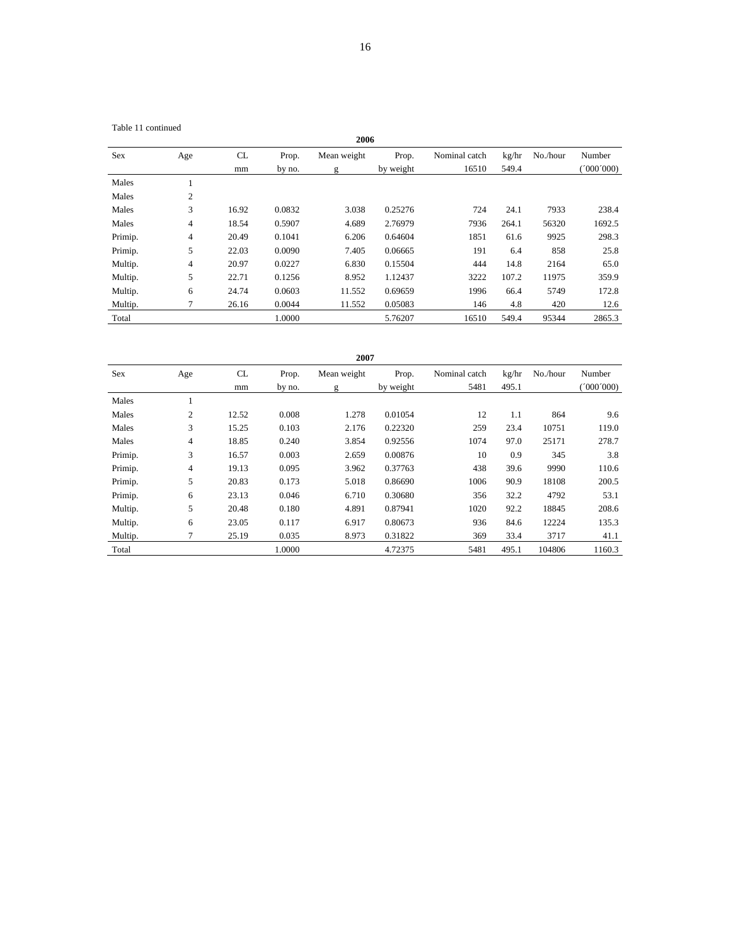Table 11 continued

| 2006    |     |       |        |             |           |               |       |          |          |  |  |  |  |
|---------|-----|-------|--------|-------------|-----------|---------------|-------|----------|----------|--|--|--|--|
| Sex     | Age | CL    | Prop.  | Mean weight | Prop.     | Nominal catch | kg/hr | No./hour | Number   |  |  |  |  |
|         |     | mm    | by no. | g           | by weight | 16510         | 549.4 |          | (000000) |  |  |  |  |
| Males   |     |       |        |             |           |               |       |          |          |  |  |  |  |
| Males   | 2   |       |        |             |           |               |       |          |          |  |  |  |  |
| Males   | 3   | 16.92 | 0.0832 | 3.038       | 0.25276   | 724           | 24.1  | 7933     | 238.4    |  |  |  |  |
| Males   | 4   | 18.54 | 0.5907 | 4.689       | 2.76979   | 7936          | 264.1 | 56320    | 1692.5   |  |  |  |  |
| Primip. | 4   | 20.49 | 0.1041 | 6.206       | 0.64604   | 1851          | 61.6  | 9925     | 298.3    |  |  |  |  |
| Primip. | 5   | 22.03 | 0.0090 | 7.405       | 0.06665   | 191           | 6.4   | 858      | 25.8     |  |  |  |  |
| Multip. | 4   | 20.97 | 0.0227 | 6.830       | 0.15504   | 444           | 14.8  | 2164     | 65.0     |  |  |  |  |
| Multip. | 5   | 22.71 | 0.1256 | 8.952       | 1.12437   | 3222          | 107.2 | 11975    | 359.9    |  |  |  |  |
| Multip. | 6   | 24.74 | 0.0603 | 11.552      | 0.69659   | 1996          | 66.4  | 5749     | 172.8    |  |  |  |  |
| Multip. | 7   | 26.16 | 0.0044 | 11.552      | 0.05083   | 146           | 4.8   | 420      | 12.6     |  |  |  |  |
| Total   |     |       | 1.0000 |             | 5.76207   | 16510         | 549.4 | 95344    | 2865.3   |  |  |  |  |

| 2007    |                          |       |        |             |           |               |       |          |           |  |  |  |  |
|---------|--------------------------|-------|--------|-------------|-----------|---------------|-------|----------|-----------|--|--|--|--|
| Sex     | Age                      | CL    | Prop.  | Mean weight | Prop.     | Nominal catch | kg/hr | No./hour | Number    |  |  |  |  |
|         |                          | mm    | by no. | g           | by weight | 5481          | 495.1 |          | (000,000) |  |  |  |  |
| Males   | -1                       |       |        |             |           |               |       |          |           |  |  |  |  |
| Males   | $\mathbf{2}$             | 12.52 | 0.008  | 1.278       | 0.01054   | 12            | 1.1   | 864      | 9.6       |  |  |  |  |
| Males   | 3                        | 15.25 | 0.103  | 2.176       | 0.22320   | 259           | 23.4  | 10751    | 119.0     |  |  |  |  |
| Males   | 4                        | 18.85 | 0.240  | 3.854       | 0.92556   | 1074          | 97.0  | 25171    | 278.7     |  |  |  |  |
| Primip. | 3                        | 16.57 | 0.003  | 2.659       | 0.00876   | 10            | 0.9   | 345      | 3.8       |  |  |  |  |
| Primip. | $\overline{\mathcal{L}}$ | 19.13 | 0.095  | 3.962       | 0.37763   | 438           | 39.6  | 9990     | 110.6     |  |  |  |  |
| Primip. | 5                        | 20.83 | 0.173  | 5.018       | 0.86690   | 1006          | 90.9  | 18108    | 200.5     |  |  |  |  |
| Primip. | 6                        | 23.13 | 0.046  | 6.710       | 0.30680   | 356           | 32.2  | 4792     | 53.1      |  |  |  |  |
| Multip. | 5                        | 20.48 | 0.180  | 4.891       | 0.87941   | 1020          | 92.2  | 18845    | 208.6     |  |  |  |  |
| Multip. | 6                        | 23.05 | 0.117  | 6.917       | 0.80673   | 936           | 84.6  | 12224    | 135.3     |  |  |  |  |
| Multip. | 7                        | 25.19 | 0.035  | 8.973       | 0.31822   | 369           | 33.4  | 3717     | 41.1      |  |  |  |  |
| Total   |                          |       | 1.0000 |             | 4.72375   | 5481          | 495.1 | 104806   | 1160.3    |  |  |  |  |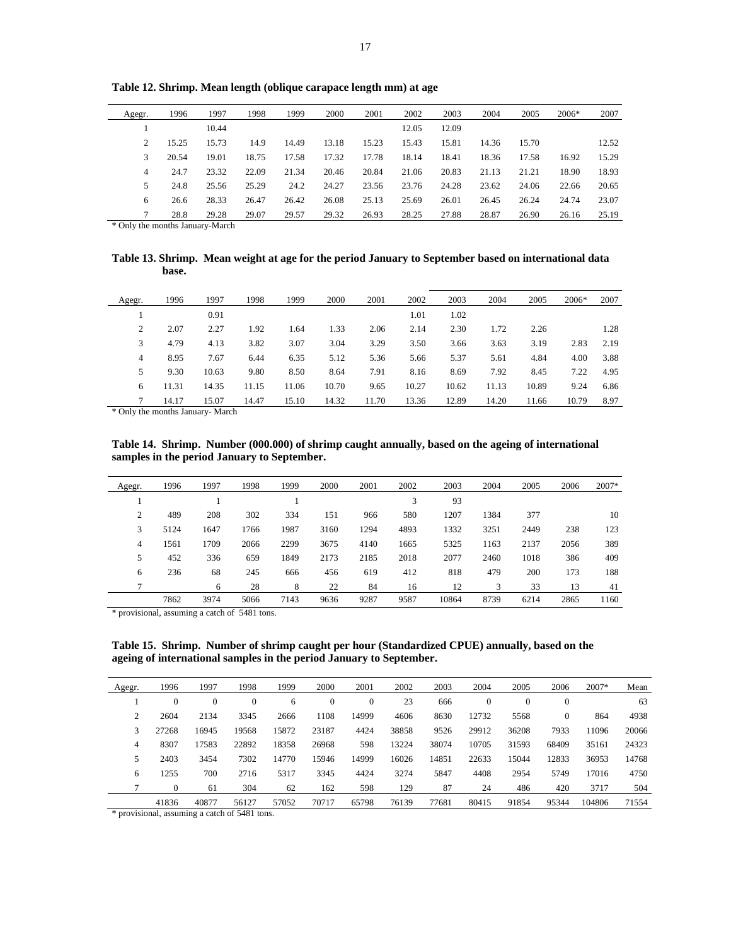| Agegr. | 1996  | 1997  | 1998  | 1999  | 2000  | 2001  | 2002  | 2003  | 2004  | 2005  | $2006*$ | 2007  |
|--------|-------|-------|-------|-------|-------|-------|-------|-------|-------|-------|---------|-------|
|        |       | 10.44 |       |       |       |       | 12.05 | 12.09 |       |       |         |       |
| 2      | 15.25 | 15.73 | 14.9  | 14.49 | 13.18 | 15.23 | 15.43 | 15.81 | 14.36 | 15.70 |         | 12.52 |
| 3      | 20.54 | 19.01 | 18.75 | 17.58 | 17.32 | 17.78 | 18.14 | 18.41 | 18.36 | 17.58 | 16.92   | 15.29 |
| 4      | 24.7  | 23.32 | 22.09 | 21.34 | 20.46 | 20.84 | 21.06 | 20.83 | 21.13 | 21.21 | 18.90   | 18.93 |
| 5      | 24.8  | 25.56 | 25.29 | 24.2  | 24.27 | 23.56 | 23.76 | 24.28 | 23.62 | 24.06 | 22.66   | 20.65 |
| 6      | 26.6  | 28.33 | 26.47 | 26.42 | 26.08 | 25.13 | 25.69 | 26.01 | 26.45 | 26.24 | 24.74   | 23.07 |
| 7      | 28.8  | 29.28 | 29.07 | 29.57 | 29.32 | 26.93 | 28.25 | 27.88 | 28.87 | 26.90 | 26.16   | 25.19 |

**Table 12. Shrimp. Mean length (oblique carapace length mm) at age** 

\* Only the months January-March

**Table 13. Shrimp. Mean weight at age for the period January to September based on international data base.** 

| Agegr. | 1996  | 1997  | 1998  | 1999  | 2000  | 2001  | 2002  | 2003  | 2004  | 2005  | 2006* | 2007 |
|--------|-------|-------|-------|-------|-------|-------|-------|-------|-------|-------|-------|------|
|        |       | 0.91  |       |       |       |       | 1.01  | 1.02  |       |       |       |      |
| 2      | 2.07  | 2.27  | 1.92  | 1.64  | 1.33  | 2.06  | 2.14  | 2.30  | 1.72  | 2.26  |       | 1.28 |
| 3      | 4.79  | 4.13  | 3.82  | 3.07  | 3.04  | 3.29  | 3.50  | 3.66  | 3.63  | 3.19  | 2.83  | 2.19 |
| 4      | 8.95  | 7.67  | 6.44  | 6.35  | 5.12  | 5.36  | 5.66  | 5.37  | 5.61  | 4.84  | 4.00  | 3.88 |
| 5      | 9.30  | 10.63 | 9.80  | 8.50  | 8.64  | 7.91  | 8.16  | 8.69  | 7.92  | 8.45  | 7.22  | 4.95 |
| 6      | 11.31 | 14.35 | 11.15 | 11.06 | 10.70 | 9.65  | 10.27 | 10.62 | 11.13 | 10.89 | 9.24  | 6.86 |
| ┑      | 14.17 | 15.07 | 14.47 | 15.10 | 14.32 | 11.70 | 13.36 | 12.89 | 14.20 | 11.66 | 10.79 | 8.97 |
| .      |       |       |       |       |       |       |       |       |       |       |       |      |

\* Only the months January- March

**Table 14. Shrimp. Number (000.000) of shrimp caught annually, based on the ageing of international samples in the period January to September.** 

| Agegr. | 1996 | 1997 | 1998 | 1999 | 2000 | 2001 | 2002 | 2003  | 2004 | 2005 | 2006 | 2007* |
|--------|------|------|------|------|------|------|------|-------|------|------|------|-------|
|        |      |      |      |      |      |      | 3    | 93    |      |      |      |       |
| 2      | 489  | 208  | 302  | 334  | 151  | 966  | 580  | 1207  | 1384 | 377  |      | 10    |
| 3      | 5124 | 1647 | 1766 | 1987 | 3160 | 1294 | 4893 | 1332  | 3251 | 2449 | 238  | 123   |
| 4      | 1561 | 1709 | 2066 | 2299 | 3675 | 4140 | 1665 | 5325  | 1163 | 2137 | 2056 | 389   |
| 5      | 452  | 336  | 659  | 1849 | 2173 | 2185 | 2018 | 2077  | 2460 | 1018 | 386  | 409   |
| 6      | 236  | 68   | 245  | 666  | 456  | 619  | 412  | 818   | 479  | 200  | 173  | 188   |
|        |      | 6    | 28   | 8    | 22   | 84   | 16   | 12    |      | 33   | 13   | 41    |
|        | 7862 | 3974 | 5066 | 7143 | 9636 | 9287 | 9587 | 10864 | 8739 | 6214 | 2865 | 1160  |

\* provisional, assuming a catch of 5481 tons.

**Table 15. Shrimp. Number of shrimp caught per hour (Standardized CPUE) annually, based on the ageing of international samples in the period January to September.** 

| Agegr. | 1996           | 1997         | 1998         | 1999  | 2000         | 2001     | 2002  | 2003  | 2004     | 2005         | 2006         | 2007*  | Mean  |
|--------|----------------|--------------|--------------|-------|--------------|----------|-------|-------|----------|--------------|--------------|--------|-------|
|        | $\overline{0}$ | $\mathbf{0}$ | $\mathbf{0}$ | 6     | $\mathbf{0}$ | $\theta$ | 23    | 666   | $\theta$ | $\mathbf{0}$ | $\mathbf{0}$ |        | 63    |
| 2      | 2604           | 2134         | 3345         | 2666  | 1108         | 14999    | 4606  | 8630  | 12732    | 5568         | $\mathbf{0}$ | 864    | 4938  |
| 3      | 27268          | 16945        | 19568        | 15872 | 23187        | 4424     | 38858 | 9526  | 29912    | 36208        | 7933         | 11096  | 20066 |
| 4      | 8307           | 17583        | 22892        | 18358 | 26968        | 598      | 13224 | 38074 | 10705    | 31593        | 68409        | 35161  | 24323 |
| 5      | 2403           | 3454         | 7302         | 14770 | 15946        | 14999    | 16026 | 14851 | 22633    | 15044        | 12833        | 36953  | 14768 |
| 6      | 1255           | 700          | 2716         | 5317  | 3345         | 4424     | 3274  | 5847  | 4408     | 2954         | 5749         | 17016  | 4750  |
|        | $\theta$       | 61           | 304          | 62    | 162          | 598      | 129   | 87    | 24       | 486          | 420          | 3717   | 504   |
|        | 41836          | 40877        | 56127        | 57052 | 70717        | 65798    | 76139 | 77681 | 80415    | 91854        | 95344        | 104806 | 71554 |
|        |                |              |              |       |              |          |       |       |          |              |              |        |       |

\* provisional, assuming a catch of 5481 tons.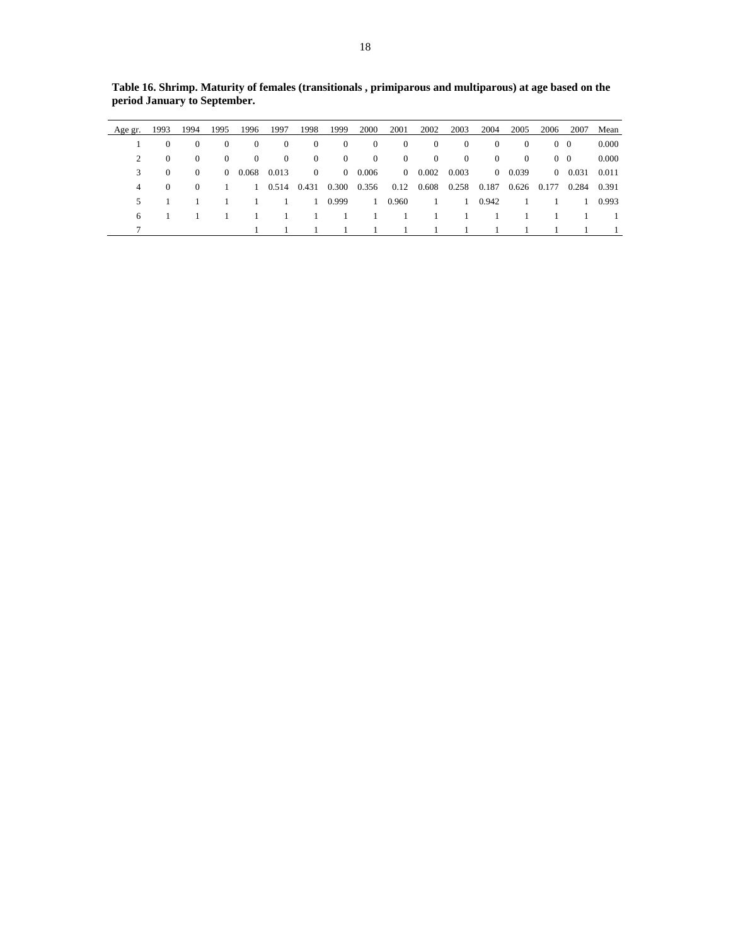| Age gr. | 1993     | 1994             | 1995           | 1996           | 1997     | 1998                | 1999     | 2000           | 2001           | 2002           | 2003              | 2004           | 2005              | 2006       | 2007           | Mean  |
|---------|----------|------------------|----------------|----------------|----------|---------------------|----------|----------------|----------------|----------------|-------------------|----------------|-------------------|------------|----------------|-------|
|         | 0        | $\Omega$         | $\Omega$       | $\mathbf{0}$   | $\Omega$ | $\theta$            | $\theta$ | $\theta$       | $\overline{0}$ | $\theta$       | $\theta$          | $\Omega$       | $\Omega$          | $0\quad 0$ |                | 0.000 |
| 2       | $\theta$ | $\Omega$         | $\overline{0}$ | $\Omega$       | $\Omega$ | $\theta$            | $\theta$ | $\theta$       | $\overline{0}$ | $\bf{0}$       | $\overline{0}$    | $\overline{0}$ | $\Omega$          | $0\quad 0$ |                | 0.000 |
| 3       | $\theta$ | $\left( \right)$ |                | $0\quad 0.068$ | 0.013    | $\bf{0}$            |          | $0\quad 0.006$ |                | $0\quad 0.002$ | 0.003             |                | $0\quad 0.039$    |            | $0\quad 0.031$ | 0.011 |
| 4       | $\Omega$ | $\Omega$         |                |                |          | 1 0.514 0.431 0.300 |          | 0.356          | 0.12           |                | 0.608 0.258 0.187 |                | 0.626 0.177 0.284 |            |                | 0.391 |
| 5       |          |                  |                |                |          | $\mathbf{1}$        | 0.999    | $\sim$ 1       | 0.960          |                | - 1 -             | 0.942          |                   |            |                | 0.993 |
| 6       |          |                  |                |                |          |                     |          |                |                |                |                   |                |                   |            |                |       |
|         |          |                  |                |                |          |                     |          |                |                |                |                   |                |                   |            |                |       |

**Table 16. Shrimp. Maturity of females (transitionals , primiparous and multiparous) at age based on the period January to September.**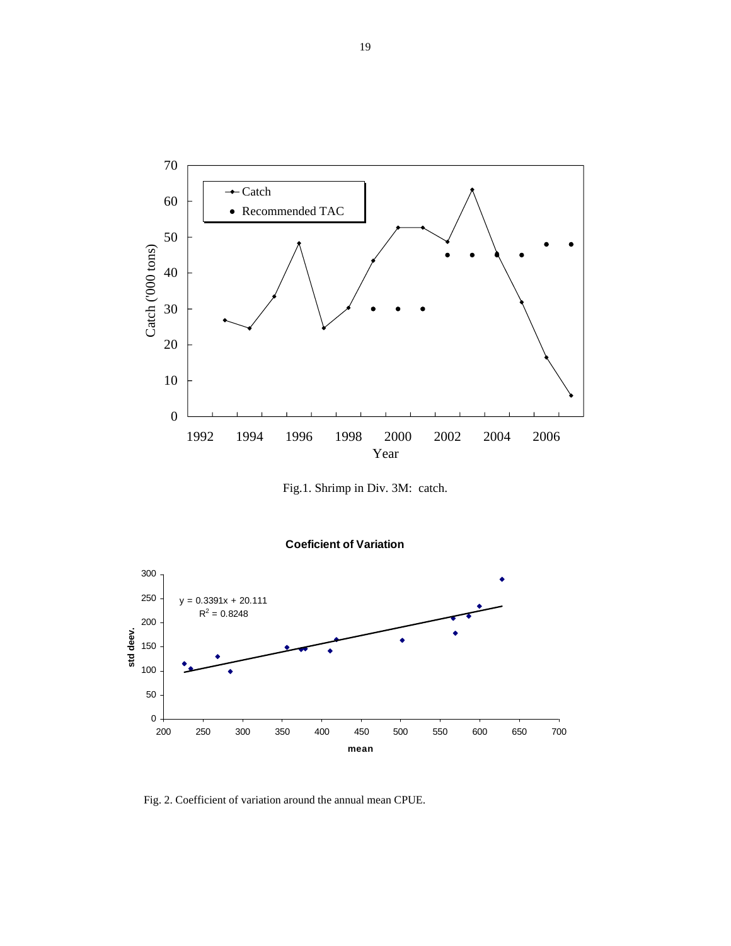

Fig.1. Shrimp in Div. 3M: catch.





Fig. 2. Coefficient of variation around the annual mean CPUE.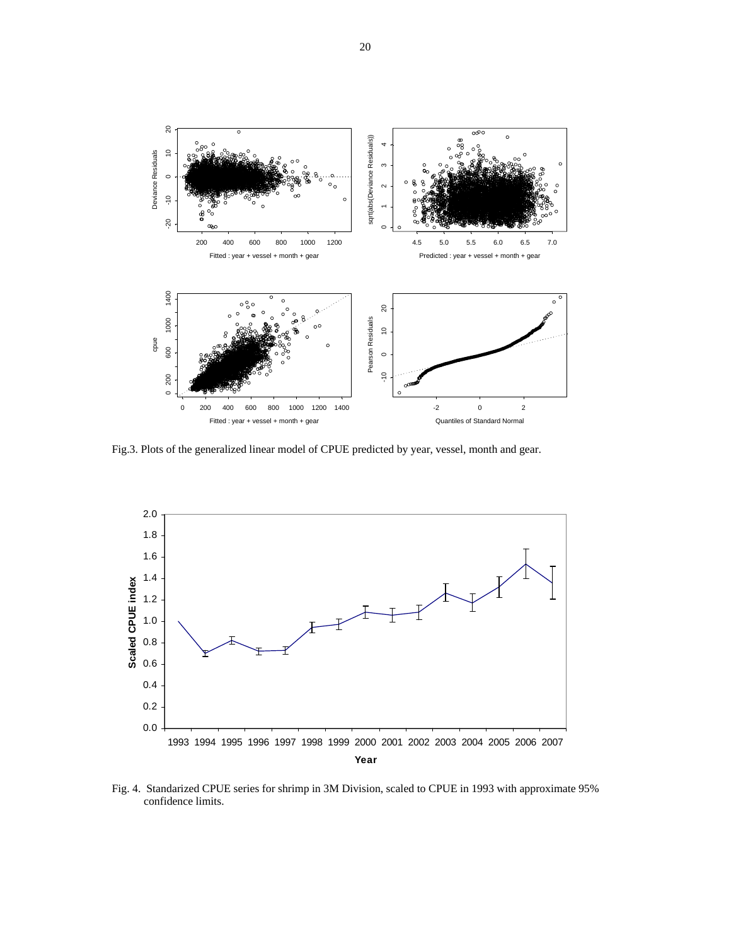

Fig.3. Plots of the generalized linear model of CPUE predicted by year, vessel, month and gear.



Fig. 4. Standarized CPUE series for shrimp in 3M Division, scaled to CPUE in 1993 with approximate 95% confidence limits.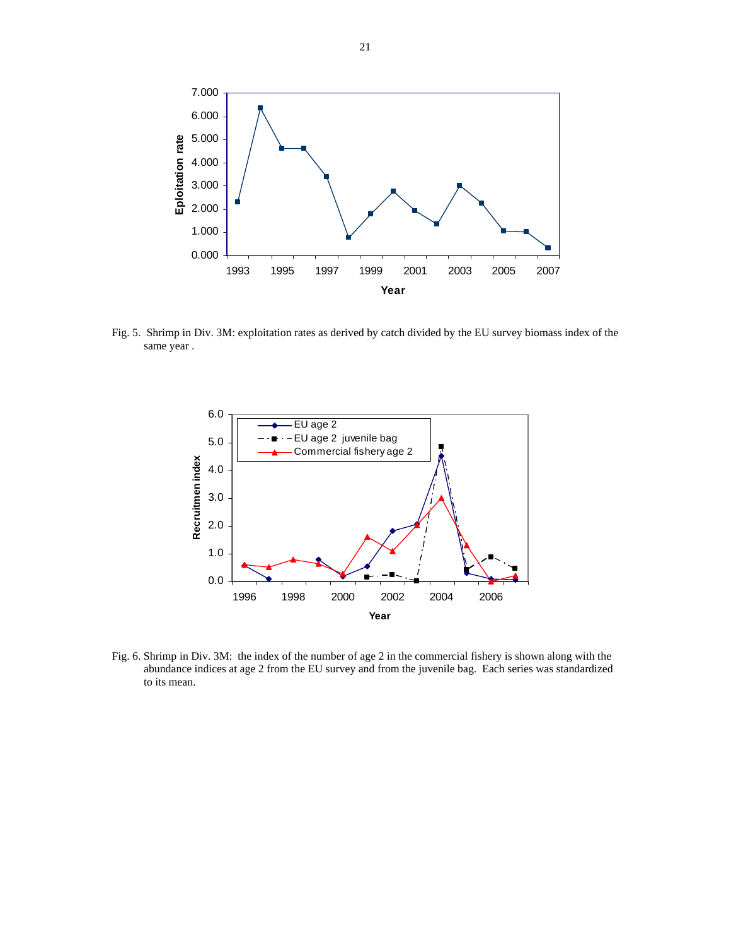

Fig. 5. Shrimp in Div. 3M: exploitation rates as derived by catch divided by the EU survey biomass index of the same year .



Fig. 6. Shrimp in Div. 3M: the index of the number of age 2 in the commercial fishery is shown along with the abundance indices at age 2 from the EU survey and from the juvenile bag. Each series was standardized to its mean.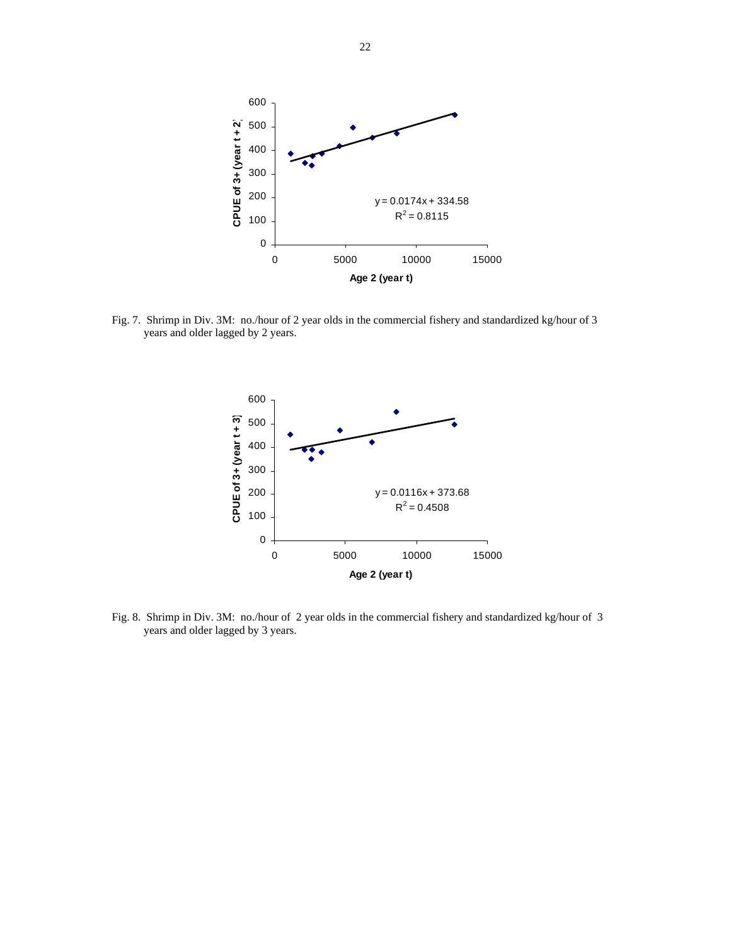

Fig. 7. Shrimp in Div. 3M: no./hour of 2 year olds in the commercial fishery and standardized kg/hour of 3 years and older lagged by 2 years.



Fig. 8. Shrimp in Div. 3M: no./hour of 2 year olds in the commercial fishery and standardized kg/hour of 3 years and older lagged by 3 years.